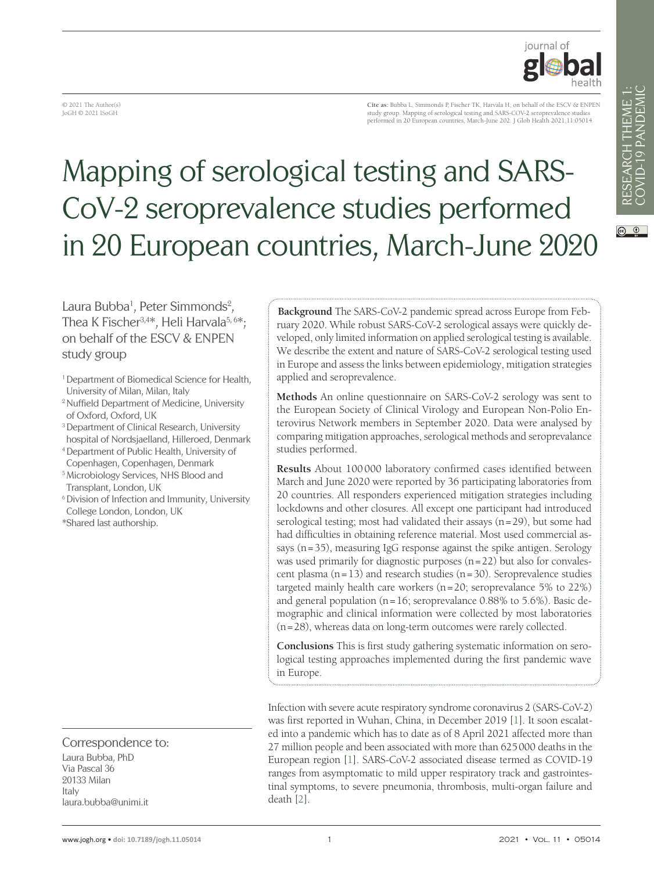$\circ$   $\circ$ 



© 2021 The Author(s) JoGH © 2021 ISoGH

**Cite as:** Bubba L, Simmonds P, Fischer TK, Harvala H; on behalf of the ESCV & ENPEN study group. Mapping of serological testing and SARS-COV-2 seroprevalence studies performed in 20 European countries, March-June 202. J Glob Health 2021;11:05014.

# Mapping of serological testing and SARS-CoV-2 seroprevalence studies performed in 20 European countries, March-June 2020

Laura Bubba<sup>1</sup>, Peter Simmonds<sup>2</sup>, Thea K Fischer<sup>3,4\*</sup>, Heli Harvala<sup>5, 6\*</sup>; on behalf of the ESCV & ENPEN study group

- <sup>1</sup> Department of Biomedical Science for Health, University of Milan, Milan, Italy
- <sup>2</sup> Nuffield Department of Medicine, University of Oxford, Oxford, UK
- <sup>3</sup> Department of Clinical Research, University hospital of Nordsjaelland, Hilleroed, Denmark
- <sup>4</sup>Department of Public Health, University of Copenhagen, Copenhagen, Denmark
- <sup>5</sup>Microbiology Services, NHS Blood and Transplant, London, UK
- <sup>6</sup> Division of Infection and Immunity, University College London, London, UK
- \*Shared last authorship.

Correspondence to: Laura Bubba, PhD Via Pascal 36 20133 Milan Italy laura.bubba@unimi.it

**Background** The SARS-CoV-2 pandemic spread across Europe from February 2020. While robust SARS-CoV-2 serological assays were quickly developed, only limited information on applied serological testing is available. We describe the extent and nature of SARS-CoV-2 serological testing used in Europe and assess the links between epidemiology, mitigation strategies applied and seroprevalence.

**Methods** An online questionnaire on SARS-CoV-2 serology was sent to the European Society of Clinical Virology and European Non-Polio Enterovirus Network members in September 2020. Data were analysed by comparing mitigation approaches, serological methods and seroprevalance studies performed.

**Results** About 100000 laboratory confirmed cases identified between March and June 2020 were reported by 36 participating laboratories from 20 countries. All responders experienced mitigation strategies including lockdowns and other closures. All except one participant had introduced serological testing; most had validated their assays (n=29), but some had had difficulties in obtaining reference material. Most used commercial assays ( $n=35$ ), measuring IgG response against the spike antigen. Serology was used primarily for diagnostic purposes  $(n=22)$  but also for convalescent plasma  $(n=13)$  and research studies  $(n=30)$ . Seroprevalence studies targeted mainly health care workers (n=20; seroprevalance 5% to 22%) and general population ( $n=16$ ; seroprevalance 0.88% to 5.6%). Basic demographic and clinical information were collected by most laboratories (n=28), whereas data on long-term outcomes were rarely collected.

**Conclusions** This is first study gathering systematic information on serological testing approaches implemented during the first pandemic wave in Europe.

Infection with severe acute respiratory syndrome coronavirus 2 (SARS-CoV-2) was first reported in Wuhan, China, in December 2019 [[1\]](#page-20-0). It soon escalated into a pandemic which has to date as of 8 April 2021 affected more than 27 million people and been associated with more than 625000 deaths in the European region [\[1](#page-20-0)]. SARS-CoV-2 associated disease termed as COVID-19 ranges from asymptomatic to mild upper respiratory track and gastrointestinal symptoms, to severe pneumonia, thrombosis, multi-organ failure and death [[2\]](#page-20-1).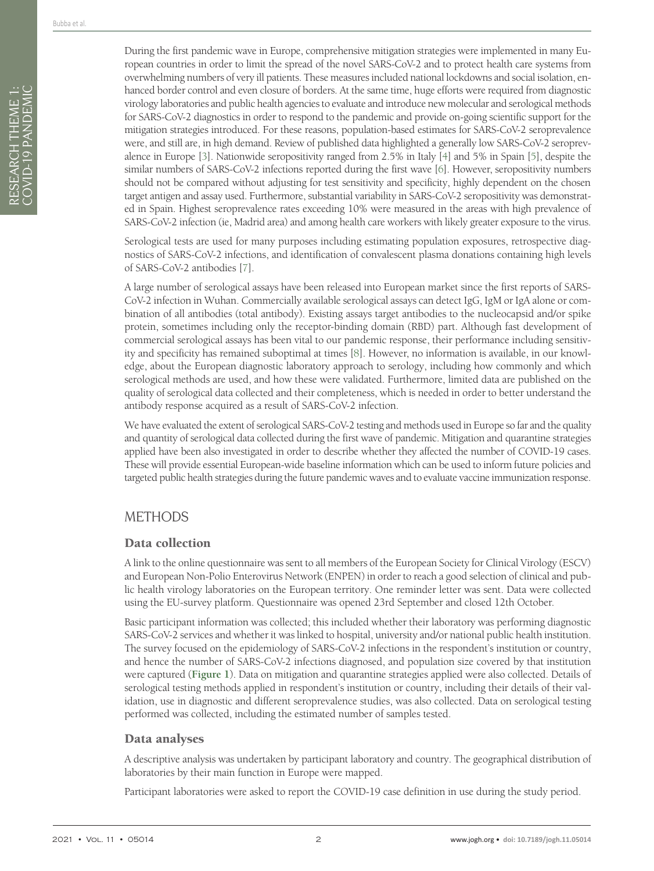During the first pandemic wave in Europe, comprehensive mitigation strategies were implemented in many European countries in order to limit the spread of the novel SARS-CoV-2 and to protect health care systems from overwhelming numbers of very ill patients. These measures included national lockdowns and social isolation, enhanced border control and even closure of borders. At the same time, huge efforts were required from diagnostic virology laboratories and public health agencies to evaluate and introduce new molecular and serological methods for SARS-CoV-2 diagnostics in order to respond to the pandemic and provide on-going scientific support for the mitigation strategies introduced. For these reasons, population-based estimates for SARS-CoV-2 seroprevalence were, and still are, in high demand. Review of published data highlighted a generally low SARS-CoV-2 seroprevalence in Europe [[3\]](#page-20-2). Nationwide seropositivity ranged from 2.5% in Italy [\[4\]](#page-20-3) and 5% in Spain [\[5](#page-20-4)], despite the similar numbers of SARS-CoV-2 infections reported during the first wave [\[6\]](#page-20-5). However, seropositivity numbers should not be compared without adjusting for test sensitivity and specificity, highly dependent on the chosen target antigen and assay used. Furthermore, substantial variability in SARS-CoV-2 seropositivity was demonstrated in Spain. Highest seroprevalence rates exceeding 10% were measured in the areas with high prevalence of SARS-CoV-2 infection (ie, Madrid area) and among health care workers with likely greater exposure to the virus.

Serological tests are used for many purposes including estimating population exposures, retrospective diagnostics of SARS-CoV-2 infections, and identification of convalescent plasma donations containing high levels of SARS-CoV-2 antibodies [[7\]](#page-20-6).

A large number of serological assays have been released into European market since the first reports of SARS-CoV-2 infection in Wuhan. Commercially available serological assays can detect IgG, IgM or IgA alone or combination of all antibodies (total antibody). Existing assays target antibodies to the nucleocapsid and/or spike protein, sometimes including only the receptor-binding domain (RBD) part. Although fast development of commercial serological assays has been vital to our pandemic response, their performance including sensitivity and specificity has remained suboptimal at times [\[8](#page-20-7)]. However, no information is available, in our knowledge, about the European diagnostic laboratory approach to serology, including how commonly and which serological methods are used, and how these were validated. Furthermore, limited data are published on the quality of serological data collected and their completeness, which is needed in order to better understand the antibody response acquired as a result of SARS-CoV-2 infection.

We have evaluated the extent of serological SARS-CoV-2 testing and methods used in Europe so far and the quality and quantity of serological data collected during the first wave of pandemic. Mitigation and quarantine strategies applied have been also investigated in order to describe whether they affected the number of COVID-19 cases. These will provide essential European-wide baseline information which can be used to inform future policies and targeted public health strategies during the future pandemic waves and to evaluate vaccine immunization response.

### METHODS

### Data collection

A link to the online questionnaire was sent to all members of the European Society for Clinical Virology (ESCV) and European Non-Polio Enterovirus Network (ENPEN) in order to reach a good selection of clinical and public health virology laboratories on the European territory. One reminder letter was sent. Data were collected using the EU-survey platform. Questionnaire was opened 23rd September and closed 12th October.

Basic participant information was collected; this included whether their laboratory was performing diagnostic SARS-CoV-2 services and whether it was linked to hospital, university and/or national public health institution. The survey focused on the epidemiology of SARS-CoV-2 infections in the respondent's institution or country, and hence the number of SARS-CoV-2 infections diagnosed, and population size covered by that institution were captured (**[Figure](#page-2-0) 1**). Data on mitigation and quarantine strategies applied were also collected. Details of serological testing methods applied in respondent's institution or country, including their details of their validation, use in diagnostic and different seroprevalence studies, was also collected. Data on serological testing performed was collected, including the estimated number of samples tested.

### Data analyses

A descriptive analysis was undertaken by participant laboratory and country. The geographical distribution of laboratories by their main function in Europe were mapped.

Participant laboratories were asked to report the COVID-19 case definition in use during the study period.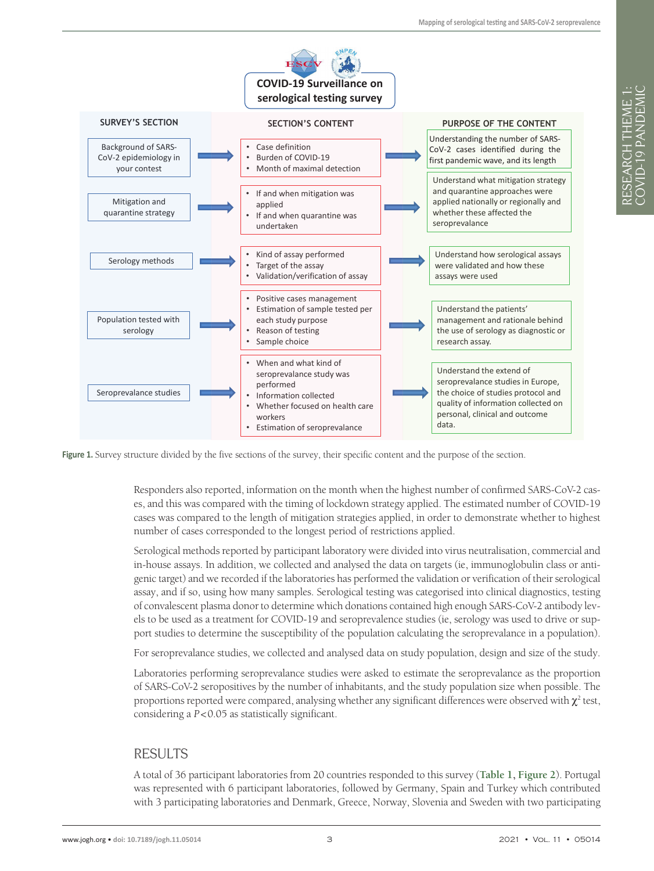<span id="page-2-0"></span>

**Figure 1.** Survey structure divided by the five sections of the survey, their specific content and the purpose of the section.

Responders also reported, information on the month when the highest number of confirmed SARS-CoV-2 cases, and this was compared with the timing of lockdown strategy applied. The estimated number of COVID-19 cases was compared to the length of mitigation strategies applied, in order to demonstrate whether to highest number of cases corresponded to the longest period of restrictions applied.

Serological methods reported by participant laboratory were divided into virus neutralisation, commercial and in-house assays. In addition, we collected and analysed the data on targets (ie, immunoglobulin class or antigenic target) and we recorded if the laboratories has performed the validation or verification of their serological assay, and if so, using how many samples. Serological testing was categorised into clinical diagnostics, testing of convalescent plasma donor to determine which donations contained high enough SARS-CoV-2 antibody levels to be used as a treatment for COVID-19 and seroprevalence studies (ie, serology was used to drive or support studies to determine the susceptibility of the population calculating the seroprevalance in a population).

For seroprevalance studies, we collected and analysed data on study population, design and size of the study.

Laboratories performing seroprevalance studies were asked to estimate the seroprevalance as the proportion of SARS-CoV-2 seropositives by the number of inhabitants, and the study population size when possible. The proportions reported were compared, analysing whether any significant differences were observed with  $\chi^2$  test, considering a *P*<0.05 as statistically significant.

### RESULTS

A total of 36 participant laboratories from 20 countries responded to this survey (**[Table](#page-4-0) 1, [Figure](#page-7-0) 2**). Portugal was represented with 6 participant laboratories, followed by Germany, Spain and Turkey which contributed with 3 participating laboratories and Denmark, Greece, Norway, Slovenia and Sweden with two participating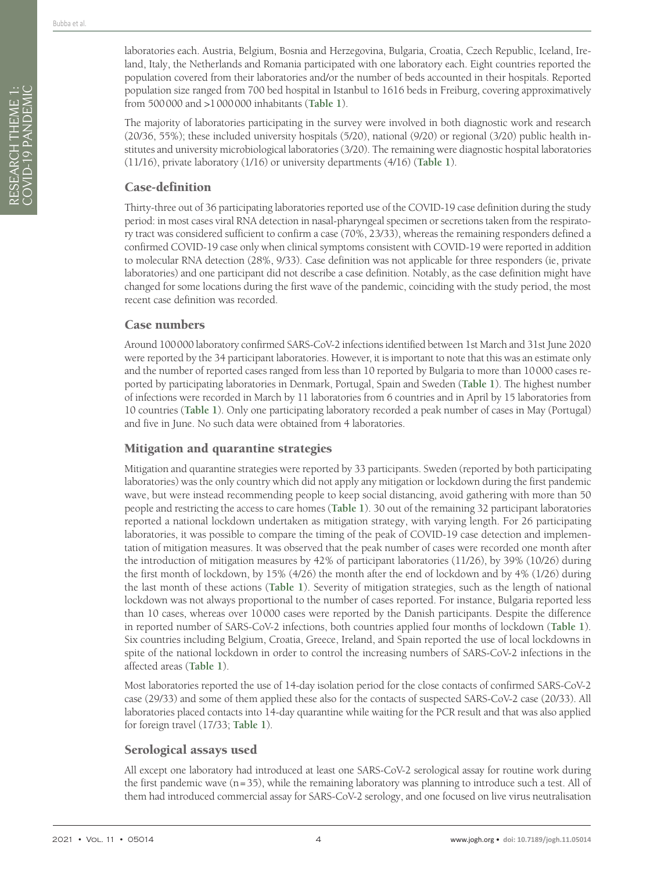RESEARCH THEME 1: COVID-19 PANDEMIC

RESEARCH THEME 1:<br>COVID-19 PANDEMIC

laboratories each. Austria, Belgium, Bosnia and Herzegovina, Bulgaria, Croatia, Czech Republic, Iceland, Ireland, Italy, the Netherlands and Romania participated with one laboratory each. Eight countries reported the population covered from their laboratories and/or the number of beds accounted in their hospitals. Reported population size ranged from 700 bed hospital in Istanbul to 1616 beds in Freiburg, covering approximatively from 500000 and >1000000 inhabitants (**[Table](#page-4-0) 1**).

The majority of laboratories participating in the survey were involved in both diagnostic work and research (20/36, 55%); these included university hospitals (5/20), national (9/20) or regional (3/20) public health institutes and university microbiological laboratories (3/20). The remaining were diagnostic hospital laboratories (11/16), private laboratory (1/16) or university departments (4/16) (**[Table](#page-4-0) 1**).

### Case-definition

Thirty-three out of 36 participating laboratories reported use of the COVID-19 case definition during the study period: in most cases viral RNA detection in nasal-pharyngeal specimen or secretions taken from the respiratory tract was considered sufficient to confirm a case (70%, 23/33), whereas the remaining responders defined a confirmed COVID-19 case only when clinical symptoms consistent with COVID-19 were reported in addition to molecular RNA detection (28%, 9/33). Case definition was not applicable for three responders (ie, private laboratories) and one participant did not describe a case definition. Notably, as the case definition might have changed for some locations during the first wave of the pandemic, coinciding with the study period, the most recent case definition was recorded.

### Case numbers

Around 100000 laboratory confirmed SARS-CoV-2 infections identified between 1st March and 31st June 2020 were reported by the 34 participant laboratories. However, it is important to note that this was an estimate only and the number of reported cases ranged from less than 10 reported by Bulgaria to more than 10000 cases reported by participating laboratories in Denmark, Portugal, Spain and Sweden (**[Table](#page-4-0) 1**). The highest number of infections were recorded in March by 11 laboratories from 6 countries and in April by 15 laboratories from 10 countries (**[Table](#page-4-0) 1**). Only one participating laboratory recorded a peak number of cases in May (Portugal) and five in June. No such data were obtained from 4 laboratories.

### Mitigation and quarantine strategies

Mitigation and quarantine strategies were reported by 33 participants. Sweden (reported by both participating laboratories) was the only country which did not apply any mitigation or lockdown during the first pandemic wave, but were instead recommending people to keep social distancing, avoid gathering with more than 50 people and restricting the access to care homes (**[Table](#page-4-0) 1**). 30 out of the remaining 32 participant laboratories reported a national lockdown undertaken as mitigation strategy, with varying length. For 26 participating laboratories, it was possible to compare the timing of the peak of COVID-19 case detection and implementation of mitigation measures. It was observed that the peak number of cases were recorded one month after the introduction of mitigation measures by 42% of participant laboratories (11/26), by 39% (10/26) during the first month of lockdown, by 15% (4/26) the month after the end of lockdown and by 4% (1/26) during the last month of these actions (**[Table](#page-4-0) 1**). Severity of mitigation strategies, such as the length of national lockdown was not always proportional to the number of cases reported. For instance, Bulgaria reported less than 10 cases, whereas over 10000 cases were reported by the Danish participants. Despite the difference in reported number of SARS-CoV-2 infections, both countries applied four months of lockdown (**[Table](#page-4-0) 1**). Six countries including Belgium, Croatia, Greece, Ireland, and Spain reported the use of local lockdowns in spite of the national lockdown in order to control the increasing numbers of SARS-CoV-2 infections in the affected areas (**[Table](#page-4-0) 1**).

Most laboratories reported the use of 14-day isolation period for the close contacts of confirmed SARS-CoV-2 case (29/33) and some of them applied these also for the contacts of suspected SARS-CoV-2 case (20/33). All laboratories placed contacts into 14-day quarantine while waiting for the PCR result and that was also applied for foreign travel (17/33; **[Table](#page-4-0) 1**).

### Serological assays used

All except one laboratory had introduced at least one SARS-CoV-2 serological assay for routine work during the first pandemic wave (n=35), while the remaining laboratory was planning to introduce such a test. All of them had introduced commercial assay for SARS-CoV-2 serology, and one focused on live virus neutralisation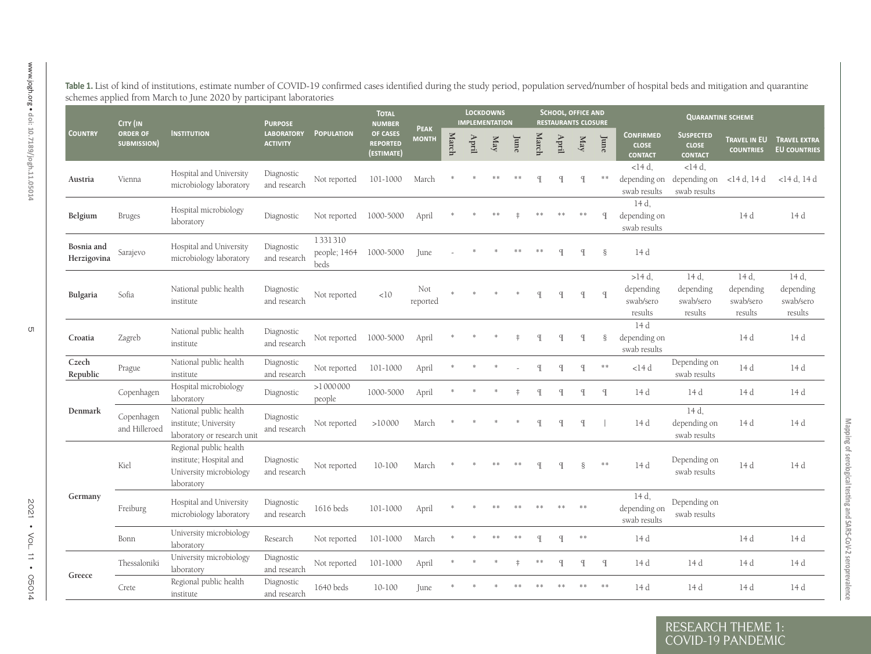|                           | CITY (IN                       |                                                                                            | <b>PURPOSE</b>                       |                                 | <b>TOTAL</b><br><b>NUMBER</b>             | <b>PEAK</b>     |       |                             | <b>LOCKDOWNS</b><br><b>IMPLEMENTATION</b> |            |              |               | <b>SCHOOL, OFFICE AND</b><br><b>RESTAURANTS CLOSURE</b> |               |                                                    | <b>QUARANTINE SCHEME</b>                           |                                            |                                            |
|---------------------------|--------------------------------|--------------------------------------------------------------------------------------------|--------------------------------------|---------------------------------|-------------------------------------------|-----------------|-------|-----------------------------|-------------------------------------------|------------|--------------|---------------|---------------------------------------------------------|---------------|----------------------------------------------------|----------------------------------------------------|--------------------------------------------|--------------------------------------------|
| <b>COUNTRY</b>            | <b>ORDER OF</b><br>SUBMISSION) | <b>INSTITUTION</b>                                                                         | <b>LABORATORY</b><br><b>ACTIVITY</b> | <b>POPULATION</b>               | OF CASES<br><b>REPORTED</b><br>(ESTIMATE) | <b>MONTH</b>    | March | $\mathop{\rm Ind}\nolimits$ | $_{\rm May}$                              | June       | March        | $_{\rm{Ini}}$ | May                                                     | June          | <b>CONFIRMED</b><br><b>CLOSE</b><br><b>CONTACT</b> | <b>SUSPECTED</b><br><b>CLOSE</b><br><b>CONTACT</b> | <b>TRAVEL IN EU</b><br><b>COUNTRIES</b>    | <b>TRAVEL EXTRA</b><br><b>EU COUNTRIES</b> |
| Austria                   | Vienna                         | Hospital and University<br>microbiology laboratory                                         | Diagnostic<br>and research           | Not reported                    | 101-1000                                  | March           |       |                             |                                           |            |              |               | $\mathbb{I}$                                            | **            | $<$ 14 $d$ .<br>depending on<br>swab results       | $<$ 14 $d$ .<br>depending on<br>swab results       | <14 d, 14 d                                | <14 d, 14 d                                |
| Belgium                   | <b>Bruges</b>                  | Hospital microbiology<br>laboratory                                                        | Diagnostic                           | Not reported                    | 1000-5000                                 | April           |       |                             |                                           |            |              |               | **                                                      | $\mathsf{q}$  | 14 d.<br>depending on<br>swab results              |                                                    | 14 d                                       |                                            |
| Bosnia and<br>Herzigovina | Sarajevo                       | Hospital and University<br>microbiology laboratory                                         | Diagnostic<br>and research           | 1331310<br>people; 1464<br>beds | 1000-5000                                 | June            |       |                             |                                           |            |              |               | $\mathbb{I}$                                            | ş             | 14 d                                               |                                                    |                                            |                                            |
| Bulgaria                  | Sofia                          | National public health<br>institute                                                        | Diagnostic<br>and research           | Not reported                    | <10                                       | Not<br>reported |       |                             |                                           |            |              | $\mathbb{I}$  | $\mathbb{I}$                                            | $\mathcal{I}$ | $>14 d$ ,<br>depending<br>swab/sero<br>results     | 14 d,<br>depending<br>swab/sero<br>results         | 14 d,<br>depending<br>swab/sero<br>results | 14 d,<br>depending<br>swab/sero<br>results |
| Croatia                   | Zagreb                         | National public health<br>institute                                                        | Diagnostic<br>and research           | Not reported                    | 1000-5000                                 | April           |       |                             |                                           |            |              |               | $\mathbb{I}$                                            | ş             | 14 d<br>depending on<br>swab results               |                                                    | 14 d                                       |                                            |
| Czech<br>Republic         | Prague                         | National public health<br>institute                                                        | Diagnostic<br>and research           | Not reported                    | 101-1000                                  | April           |       |                             |                                           |            | q            | q             | $\mathbb{I}$                                            | $\ast\ast$    | $<$ l $4$ d                                        | Depending on<br>swab results                       | 14 d                                       |                                            |
|                           | Copenhagen                     | Hospital microbiology<br>laboratory                                                        | Diagnostic                           | >1000000<br>people              | 1000-5000                                 | April           |       |                             |                                           |            | $\mathbb{I}$ | q             | $\mathbb{I}$                                            | $\mathcal{I}$ | 14 d                                               | 14 d                                               | 14 d                                       |                                            |
| Denmark                   | Copenhagen<br>and Hilleroed    | National public health<br>institute; University<br>laboratory or research unit             | Diagnostic<br>and research           | Not reported                    | >10000                                    | March           |       |                             |                                           |            |              | q             | q                                                       |               | 14 d                                               | 14 d.<br>depending on<br>swab results              | 14 d                                       |                                            |
|                           | Kiel                           | Regional public health<br>institute; Hospital and<br>University microbiology<br>laboratory | Diagnostic<br>and research           | Not reported                    | $10 - 100$                                | March           |       |                             |                                           |            |              |               |                                                         | $**$          | 14 d                                               | Depending on<br>swab results                       | 14 d                                       |                                            |
| Germany                   | Freiburg                       | Hospital and University<br>microbiology laboratory                                         | Diagnostic<br>and research           | 1616 beds                       | 101-1000                                  | April           |       |                             |                                           |            |              |               | **                                                      |               | 14 d,<br>depending on<br>swab results              | Depending on<br>swab results                       |                                            |                                            |
|                           | Bonn                           | University microbiology<br>laboratory                                                      | Research                             | Not reported                    | 101-1000                                  | March           |       |                             | **                                        | $* *$      | $\mathbb{q}$ | $\mathbb{I}$  | $\ast\ast$                                              |               | 14 d                                               |                                                    | 14 d                                       |                                            |
| Greece                    | Thessaloniki                   | University microbiology<br>laboratory                                                      | Diagnostic<br>and research           | Not reported                    | 101-1000                                  | April           |       |                             |                                           | $\ddagger$ | $* *$        | q             | $\mathbb{I}$                                            | $\mathcal{F}$ | 14 d                                               | 14 d                                               | 14 d                                       |                                            |
|                           | Crete                          | Regional public health<br>institute                                                        | Diagnostic<br>and research           | 1640 beds                       | $10 - 100$                                | <b>Iune</b>     |       |                             |                                           |            |              |               |                                                         |               | 14 d                                               | 14 d                                               | 14 d                                       | 14 d                                       |

Mapping of serological testing and SARS-CoV-2 seroprevalence

<span id="page-4-0"></span> $\overline{C}$  OVID-19 PA

RESEARCH THEME 1: COVID-19 PANDEMIC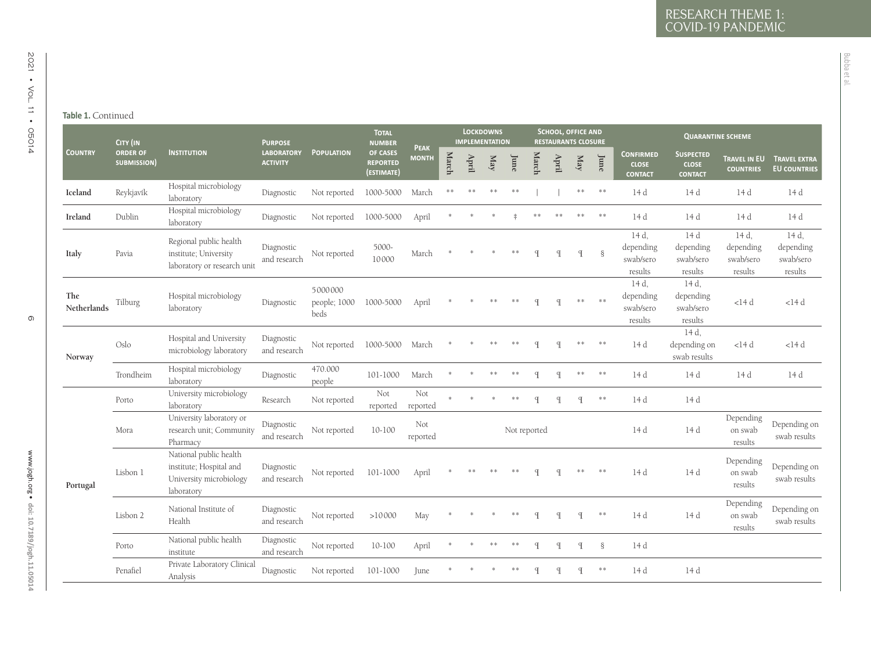## **Table 1.** Continued

#### **EXERCISE CONTRACT CONTRACT CONTRACT CONTRACT CONTRACT CONTRACT CONTRACT CONTRACT CONTRACT CONTRACT CONTRACT CONTRACT CONTRACT CONTRACT CONTRACT CONTRACT CONTRACT CONTRACT CONTRACT CONTRACT CONTRACT CONTRACT CONTRACT CON March April May June March April May Lune CONFIRMED**<br> **June CLOSE contactSuspected close contact Travel in EU Travel extra countries EU countries Iceland**d Reykjavík Hospital microbiology Diagnostic Not reported 1000-5000 March \*\* \*\* \*\* \*\* | | \*\* \*\* 14 d 14 d 14 d 14 d<br>laboratory **Ireland** Dublin Hospital microbiology laboratory Diagnostic Not reported 1000-5000 April \* \* \* ‡ \*\* \*\* \*\* \*\* 14 d 14 d 14 d 14 d **Italy** Pavia Regional public health institute; University laboratory or research unit Diagnostic and research Not reported 5000- <sup>10000</sup> March \* \* \* \*\* ¶ ¶ ¶ § 14 d, depending swab/sero results 14 d depending swab/sero results  $14 d$ depending swab/sero results 14 d, depending swab/sero results **The Netherlands** Tilburg Hospital microbiology laboratory Diagnostic 5000000 people; 1000 beds1000-5000 April \* \* \*\* \*\* ¶ ¶ \*\* \*\* 14 d, depending swab/sero results 14 d, depending swab/sero results  $<$ 14 d <14 d **Norway** OsloHospital and University Diagnostic 1000-5000 March \* \* \*\* \* ¶ ¶ \*\* \*\* 14 d, depending on microbiology laboratory and research Not reported 1000-5000 March \* \* \* \* \* ¶ ¶ \*\* \*\* 14 d depending on swab results <14 d <14 d Trondheimm Hospital microbiology piagnostic 470.000 people 101-1000 March \* \* \*\* \*\* ¶ ¶ \*\* \*\* 14 d 14 d 14 d 14 d 14 d<br>people 101-1000 March \* \* \*\* ¶ ¶ \*\* \*\* 14 d 14 d 14 d **Portugal** PortoUniversity microbiology Research Not reported Not Not \* \* \* \* ¶ ¶ \*\* 14 d 14 d<br>laboratory Research Not reported reported for the state of the 14 d 14 d Mora University laboratory or research unit; Community Pharmacy Diagnostic and researchNot reported 10-100 Not Not reported 14 d Depending reported 14 d Depending results Depending Depending on swab results Lisbon 1National public health institute; Hospital and University microbiology laboratory Diagnostic and research Not reported 101-1000 April \* \*\* \*\* \*\* ¶ ¶ \*\* \*\* 14 d 14 d Depending on swab results Depending on swab results Lisbon 2 National Institute of Healthnal Institute of Diagnostic Not reported >10000 May \* \* \* \* and the search Not reported >10000 May \* \* \* \* and the search on swab results Depending<br>
on swab <br>
results<br>
results Porto National public health institute Diagnostic and research Not reported 10-100 April \* \* \*\* \*\* ¶ ¶ ¶ § 14 d PenafielPrivate Laboratory Clinical Diagnostic Not reported 101-1000 June \* \* \* \* ¶ ¶ \*\* 14 d 14 d<br>Analysis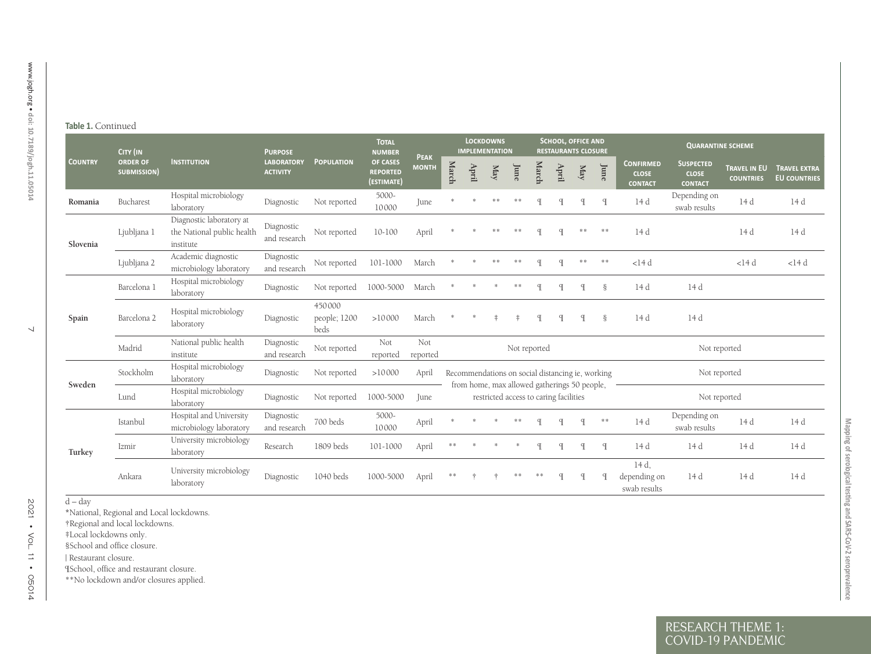#### **Table 1.** Continued

| <b>ORDER OF</b><br><b>COUNTRY</b><br>SUBMISSION)<br>Bucharest<br>Romania<br>Ljubljana 1<br>Slovenia<br>Ljubljana 2<br>Barcelona 1<br>Barcelona 2<br>Spain<br>Madrid<br>Stockholm<br>Sweden<br>Lund | <b>INSTITUTION</b><br>Hospital microbiology<br>laboratory<br>Diagnostic laboratory at<br>the National public health<br>institute<br>Academic diagnostic<br>microbiology laboratory<br>Hospital microbiology<br>laboratory<br>Hospital microbiology<br>laboratory<br>National public health<br>institute<br>Hospital microbiology | <b>LABORATORY</b><br><b>ACTIVITY</b><br>Diagnostic<br>Diagnostic<br>and research<br>Diagnostic<br>and research<br>Diagnostic<br>Diagnostic<br>Diagnostic | <b>POPULATION</b><br>Not reported<br>Not reported<br>Not reported<br>Not reported<br>450000<br>people; 1200<br>beds | OF CASES<br><b>REPORTED</b><br>(ESTIMATE)<br>5000-<br>10000<br>10-100<br>101-1000<br>1000-5000<br>>10000 | <b>PEAK</b><br><b>MONTH</b><br>June<br>April<br>March<br>March<br>March | March | April | $_{\rm May}$<br>** | June<br>**<br>$* *$                                                                              | March<br>$\mathcal{F}$<br>$\mathbf q$<br>$\mathbb{q}$ | $\Lambda {\rm pril}$<br>$\mathcal{F}$<br>$\mathbf q$ | $\mathbf{M}\mathbf{a}\mathbf{y}$<br>$\mathcal{I}$<br>** | June<br>$\mathbb{I}$<br>$\ast$ $\ast$<br>** | <b>CONFIRMED</b><br><b>CLOSE</b><br><b>CONTACT</b><br>14 d<br>14 d<br>$<$ 14 $d$ | <b>SUSPECTED</b><br><b>CLOSE</b><br><b>CONTACT</b><br>Depending on<br>swab results | TRAVEL IN EU<br><b>COUNTRIES</b><br>14 d<br>14d | <b>TRAVEL EXTRA</b><br><b>EU COUNTRIES</b><br>14 d<br>14 d |
|----------------------------------------------------------------------------------------------------------------------------------------------------------------------------------------------------|----------------------------------------------------------------------------------------------------------------------------------------------------------------------------------------------------------------------------------------------------------------------------------------------------------------------------------|----------------------------------------------------------------------------------------------------------------------------------------------------------|---------------------------------------------------------------------------------------------------------------------|----------------------------------------------------------------------------------------------------------|-------------------------------------------------------------------------|-------|-------|--------------------|--------------------------------------------------------------------------------------------------|-------------------------------------------------------|------------------------------------------------------|---------------------------------------------------------|---------------------------------------------|----------------------------------------------------------------------------------|------------------------------------------------------------------------------------|-------------------------------------------------|------------------------------------------------------------|
|                                                                                                                                                                                                    |                                                                                                                                                                                                                                                                                                                                  |                                                                                                                                                          |                                                                                                                     |                                                                                                          |                                                                         |       |       |                    |                                                                                                  |                                                       |                                                      |                                                         |                                             |                                                                                  |                                                                                    |                                                 |                                                            |
|                                                                                                                                                                                                    |                                                                                                                                                                                                                                                                                                                                  |                                                                                                                                                          |                                                                                                                     |                                                                                                          |                                                                         |       |       |                    |                                                                                                  |                                                       |                                                      |                                                         |                                             |                                                                                  |                                                                                    |                                                 |                                                            |
|                                                                                                                                                                                                    |                                                                                                                                                                                                                                                                                                                                  |                                                                                                                                                          |                                                                                                                     |                                                                                                          |                                                                         |       |       |                    |                                                                                                  |                                                       |                                                      |                                                         |                                             |                                                                                  |                                                                                    |                                                 |                                                            |
|                                                                                                                                                                                                    |                                                                                                                                                                                                                                                                                                                                  |                                                                                                                                                          |                                                                                                                     |                                                                                                          |                                                                         |       |       |                    |                                                                                                  |                                                       |                                                      |                                                         |                                             |                                                                                  |                                                                                    | $<$ 14 $d$                                      | $<$ 14 $d$                                                 |
|                                                                                                                                                                                                    |                                                                                                                                                                                                                                                                                                                                  |                                                                                                                                                          |                                                                                                                     |                                                                                                          |                                                                         |       |       |                    |                                                                                                  |                                                       | $\mathbb{I}$                                         | $\mathbb{I}$                                            | $\S$                                        | 14 d                                                                             | 14 d                                                                               |                                                 |                                                            |
|                                                                                                                                                                                                    |                                                                                                                                                                                                                                                                                                                                  |                                                                                                                                                          |                                                                                                                     |                                                                                                          |                                                                         |       |       |                    |                                                                                                  | P                                                     |                                                      |                                                         | ş                                           | 14 d                                                                             | 14 d                                                                               |                                                 |                                                            |
|                                                                                                                                                                                                    |                                                                                                                                                                                                                                                                                                                                  | and research                                                                                                                                             | Not reported                                                                                                        | Not<br>reported                                                                                          | Not<br>reported                                                         |       |       |                    | Not reported                                                                                     |                                                       |                                                      |                                                         |                                             |                                                                                  | Not reported                                                                       |                                                 |                                                            |
|                                                                                                                                                                                                    | laboratory                                                                                                                                                                                                                                                                                                                       | Diagnostic                                                                                                                                               | Not reported                                                                                                        | >10000                                                                                                   | April                                                                   |       |       |                    | Recommendations on social distancing ie, working<br>from home, max allowed gatherings 50 people, |                                                       |                                                      |                                                         |                                             |                                                                                  | Not reported                                                                       |                                                 |                                                            |
|                                                                                                                                                                                                    | Hospital microbiology<br>laboratory                                                                                                                                                                                                                                                                                              | Diagnostic                                                                                                                                               | Not reported                                                                                                        | 1000-5000                                                                                                | June                                                                    |       |       |                    | restricted access to caring facilities                                                           |                                                       |                                                      |                                                         |                                             |                                                                                  | Not reported                                                                       |                                                 |                                                            |
| Istanbul                                                                                                                                                                                           | Hospital and University<br>microbiology laboratory                                                                                                                                                                                                                                                                               | Diagnostic<br>and research                                                                                                                               | 700 beds                                                                                                            | 5000-<br>10000                                                                                           | April                                                                   |       |       |                    |                                                                                                  |                                                       |                                                      | $\mathbb{q}$                                            | $\ast\ast$                                  | 14 d                                                                             | Depending on<br>swab results                                                       | 14d                                             | 14 d                                                       |
| Izmir<br>Turkey                                                                                                                                                                                    | University microbiology<br>laboratory                                                                                                                                                                                                                                                                                            | Research                                                                                                                                                 | 1809 beds                                                                                                           | 101-1000                                                                                                 | April                                                                   | **    |       |                    |                                                                                                  | $\mathbf q$                                           | $\mathbb{I}$                                         | $\mathbb{I}$                                            | $\mathcal{F}$                               | 14 d                                                                             | 14 d                                                                               | 14 d                                            | 14 d                                                       |
| Ankara                                                                                                                                                                                             | University microbiology<br>laboratory                                                                                                                                                                                                                                                                                            | Diagnostic                                                                                                                                               | 1040 beds                                                                                                           | 1000-5000                                                                                                | April                                                                   |       |       |                    |                                                                                                  |                                                       | $\mathbf q$                                          | $\mathcal{F}$                                           |                                             | 14 d,<br>depending on<br>swab results                                            | 14 d                                                                               | 14 d                                            | 14 d                                                       |

 $\overline{C}$  OVID-19 PA

RESEARCH THEME 1: COVID-19 PANDEMIC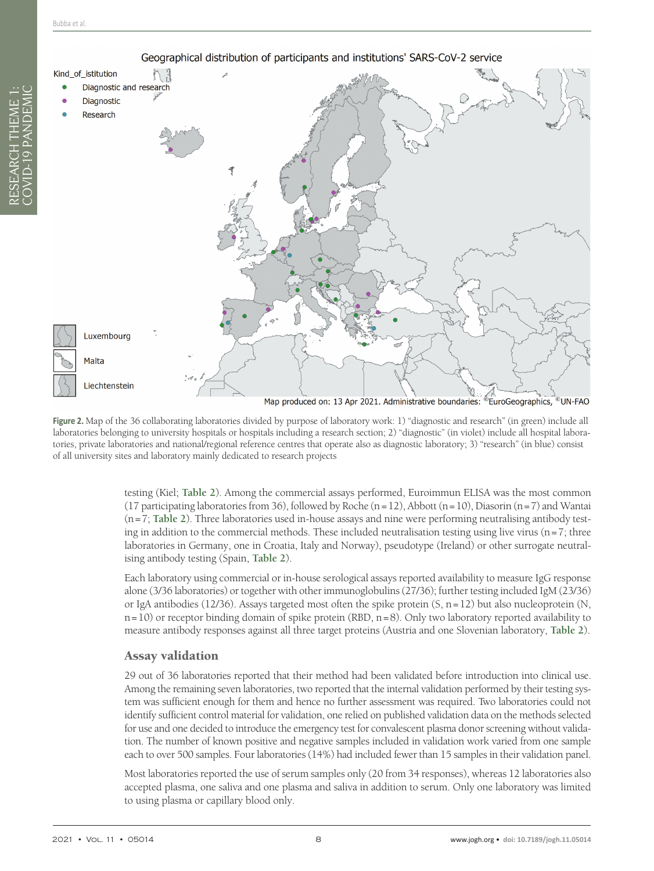<span id="page-7-0"></span>

**Figure 2.** Map of the 36 collaborating laboratories divided by purpose of laboratory work: 1) "diagnostic and research" (in green) include all laboratories belonging to university hospitals or hospitals including a research section; 2) "diagnostic" (in violet) include all hospital laboratories, private laboratories and national/regional reference centres that operate also as diagnostic laboratory; 3) "research" (in blue) consist of all university sites and laboratory mainly dedicated to research projects

> testing (Kiel; **[Table](#page-8-0) 2**). Among the commercial assays performed, Euroimmun ELISA was the most common (17 participating laboratories from 36), followed by Roche  $(n=12)$ , Abbott  $(n=10)$ , Diasorin  $(n=7)$  and Wantai (n=7; **[Table](#page-8-0) 2**). Three laboratories used in-house assays and nine were performing neutralising antibody testing in addition to the commercial methods. These included neutralisation testing using live virus ( $n=7$ ; three laboratories in Germany, one in Croatia, Italy and Norway), pseudotype (Ireland) or other surrogate neutralising antibody testing (Spain, **[Table](#page-8-0) 2**).

> Each laboratory using commercial or in-house serological assays reported availability to measure IgG response alone (3/36 laboratories) or together with other immunoglobulins (27/36); further testing included IgM (23/36) or IgA antibodies (12/36). Assays targeted most often the spike protein (S, n=12) but also nucleoprotein (N,  $n=10$ ) or receptor binding domain of spike protein (RBD,  $n=8$ ). Only two laboratory reported availability to measure antibody responses against all three target proteins (Austria and one Slovenian laboratory, **[Table](#page-8-0) 2**).

#### Assay validation

29 out of 36 laboratories reported that their method had been validated before introduction into clinical use. Among the remaining seven laboratories, two reported that the internal validation performed by their testing system was sufficient enough for them and hence no further assessment was required. Two laboratories could not identify sufficient control material for validation, one relied on published validation data on the methods selected for use and one decided to introduce the emergency test for convalescent plasma donor screening without validation. The number of known positive and negative samples included in validation work varied from one sample each to over 500 samples. Four laboratories (14%) had included fewer than 15 samples in their validation panel.

Most laboratories reported the use of serum samples only (20 from 34 responses), whereas 12 laboratories also accepted plasma, one saliva and one plasma and saliva in addition to serum. Only one laboratory was limited to using plasma or capillary blood only.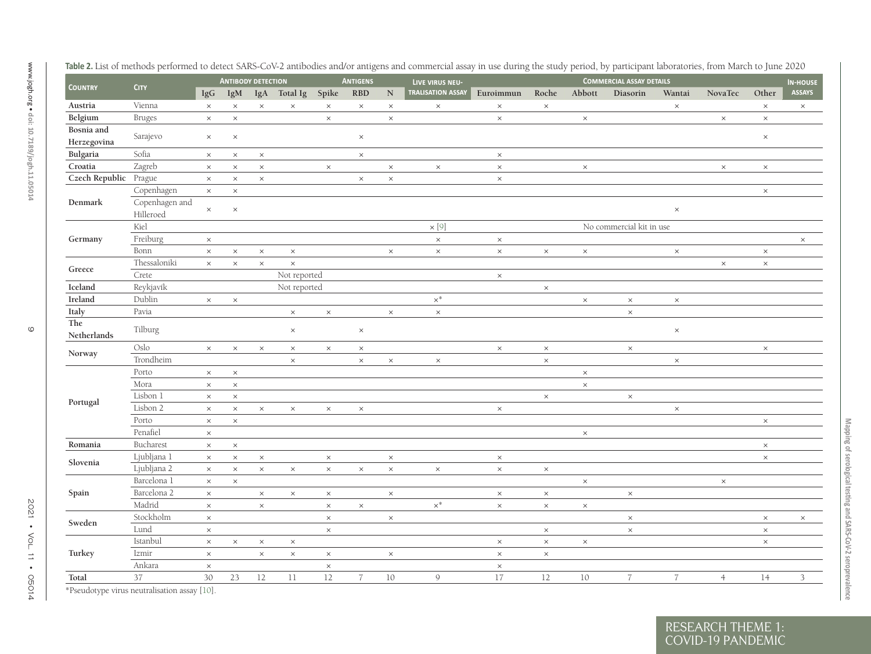<span id="page-8-0"></span>

| <b>COUNTRY</b>            | <b>CITY</b>                  |          | <b>ANTIBODY DETECTION</b> |          |              |          | <b>ANTIGENS</b> |           | LIVE VIRUS NEU-   |           |          |          | <b>COMMERCIAL ASSAY DETAILS</b> |                 |                |          | <b>IN-HOUSE</b> |
|---------------------------|------------------------------|----------|---------------------------|----------|--------------|----------|-----------------|-----------|-------------------|-----------|----------|----------|---------------------------------|-----------------|----------------|----------|-----------------|
|                           |                              | IgG      | IgM                       |          | IgA Total Ig | Spike    | <b>RBD</b>      | ${\bf N}$ | TRALISATION ASSAY | Euroimmun | Roche    | Abbott   | Diasorin                        | Wantai          | NovaTec        | Other    |                 |
| Austria                   | Vienna                       | $\times$ | $\times$                  | $\times$ | $\times$     | $\times$ | $\times$        | $\times$  | $\times$          | $\times$  | $\times$ |          |                                 | $\times$        |                | $\times$ |                 |
| Belgium                   | <b>Bruges</b>                | $\times$ | $\times$                  |          |              | $\times$ |                 | $\times$  |                   | $\times$  |          | $\times$ |                                 |                 | $\times$       | $\times$ |                 |
| Bosnia and<br>Herzegovina | Sarajevo                     | $\times$ | $\times$                  |          |              |          | $\times$        |           |                   |           |          |          |                                 |                 |                | $\times$ |                 |
| Bulgaria                  | Sofia                        | $\times$ | $\times$                  | $\times$ |              |          | $\times$        |           |                   | $\times$  |          |          |                                 |                 |                |          |                 |
| Croatia                   | Zagreb                       | $\times$ | $\times$                  | $\times$ |              | $\times$ |                 | $\times$  | $\times$          | $\times$  |          | $\times$ |                                 |                 | $\times$       | $\times$ |                 |
| Czech Republic Prague     |                              | $\times$ | $\times$                  | $\times$ |              |          | $\times$        | $\times$  |                   | $\times$  |          |          |                                 |                 |                |          |                 |
|                           | Copenhagen                   | $\times$ | $\times$                  |          |              |          |                 |           |                   |           |          |          |                                 |                 |                | $\times$ |                 |
| Denmark                   | Copenhagen and<br>Hilleroed  | $\times$ | $\times$                  |          |              |          |                 |           |                   |           |          |          |                                 | $\times$        |                |          |                 |
|                           | Kiel                         |          |                           |          |              |          |                 |           | $\times$ [9]      |           |          |          | No commercial kit in use        |                 |                |          |                 |
| Germany                   | Freiburg                     | $\times$ |                           |          |              |          |                 |           | $\times$          | $\times$  |          |          |                                 |                 |                |          |                 |
|                           | Bonn                         | $\times$ | $\times$                  | $\times$ | $\times$     |          |                 | $\times$  | $\times$          | $\times$  | $\times$ | $\times$ |                                 | $\times$        |                | $\times$ |                 |
|                           | Thessaloniki                 | $\times$ | $\times$                  | $\times$ | $\times$     |          |                 |           |                   |           |          |          |                                 |                 | $\times$       | $\times$ |                 |
| Greece                    | Crete                        |          |                           |          | Not reported |          |                 |           |                   | $\times$  |          |          |                                 |                 |                |          |                 |
| Iceland                   | Reykjavík                    |          |                           |          | Not reported |          |                 |           |                   |           | $\times$ |          |                                 |                 |                |          |                 |
| Ireland                   | Dublin                       | $\times$ | $\times$                  |          |              |          |                 |           | $\times^*$        |           |          | $\times$ | $\times$                        | $\times$        |                |          |                 |
| Italy                     | Pavia                        |          |                           |          | $\times$     | $\times$ |                 | $\times$  | $\times$          |           |          |          | $\times$                        |                 |                |          |                 |
| The<br>Netherlands        | Tilburg                      |          |                           |          | $\times$     |          | $\times$        |           |                   |           |          |          |                                 | $\times$        |                |          |                 |
|                           | $\mathop{\rm Oslo}\nolimits$ | $\times$ | $\times$                  | $\times$ | $\times$     | $\times$ | $\times$        |           |                   | $\times$  | $\times$ |          | $\times$                        |                 |                | $\times$ |                 |
| Norway                    | Trondheim                    |          |                           |          | $\times$     |          | $\times$        | $\times$  | $\times$          |           | $\times$ |          |                                 | $\times$        |                |          |                 |
|                           | Porto                        | $\times$ | $\times$                  |          |              |          |                 |           |                   |           |          | $\times$ |                                 |                 |                |          |                 |
|                           | Mora                         | $\times$ | $\times$                  |          |              |          |                 |           |                   |           |          | $\times$ |                                 |                 |                |          |                 |
|                           | Lisbon 1                     | $\times$ | $\times$                  |          |              |          |                 |           |                   |           | $\times$ |          | $\times$                        |                 |                |          |                 |
| Portugal                  | Lisbon 2                     | $\times$ | $\times$                  | $\times$ | $\times$     | $\times$ | $\times$        |           |                   | $\times$  |          |          |                                 | $\times$        |                |          |                 |
|                           | Porto                        | $\times$ | $\times$                  |          |              |          |                 |           |                   |           |          |          |                                 |                 |                | $\times$ |                 |
|                           | Penafiel                     | $\times$ |                           |          |              |          |                 |           |                   |           |          | $\times$ |                                 |                 |                |          |                 |
| Romania                   | Bucharest                    | $\times$ | $\times$                  |          |              |          |                 |           |                   |           |          |          |                                 |                 |                | $\times$ |                 |
|                           | Ljubljana 1                  | $\times$ | $\times$                  | $\times$ |              | $\times$ |                 | $\times$  |                   | $\times$  |          |          |                                 |                 |                | $\times$ |                 |
| Slovenia                  | Ljubljana 2                  | $\times$ | $\times$                  | $\times$ | $\times$     | $\times$ | $\times$        | $\times$  | $\times$          | $\times$  | $\times$ |          |                                 |                 |                |          |                 |
|                           | Barcelona 1                  | $\times$ | $\times$                  |          |              |          |                 |           |                   |           |          | $\times$ |                                 |                 | $\times$       |          |                 |
| Spain                     | Barcelona 2                  | $\times$ |                           | $\times$ | $\times$     | $\times$ |                 | $\times$  |                   | $\times$  | $\times$ |          | $\times$                        |                 |                |          |                 |
|                           | Madrid                       | $\times$ |                           | $\times$ |              | $\times$ | $\times$        |           | $\times^*$        | $\times$  | $\times$ | $\times$ |                                 |                 |                |          |                 |
|                           | Stockholm                    | $\times$ |                           |          |              | $\times$ |                 | $\times$  |                   |           |          |          | $\times$                        |                 |                | $\times$ |                 |
| Sweden                    | Lund                         | $\times$ |                           |          |              | $\times$ |                 |           |                   |           | $\times$ |          | $\times$                        |                 |                | $\times$ |                 |
|                           | Istanbul                     | $\times$ | $\times$                  | $\times$ | $\times$     |          |                 |           |                   | $\times$  | $\times$ | $\times$ |                                 |                 |                | $\times$ |                 |
| Turkey                    | Izmir                        | $\times$ |                           | $\times$ | $\times$     | $\times$ |                 | $\times$  |                   | $\times$  | $\times$ |          |                                 |                 |                |          |                 |
|                           | Ankara                       | $\times$ |                           |          |              | $\times$ |                 |           |                   | $\times$  |          |          |                                 |                 |                |          |                 |
| Total                     | 37                           | 30       | 23                        | 12       | 11           | 12       | $\overline{7}$  | $10\,$    | 9                 | 17        | 12       | 10       | $\frac{7}{2}$                   | $7\overline{ }$ | $\overline{4}$ | 14       |                 |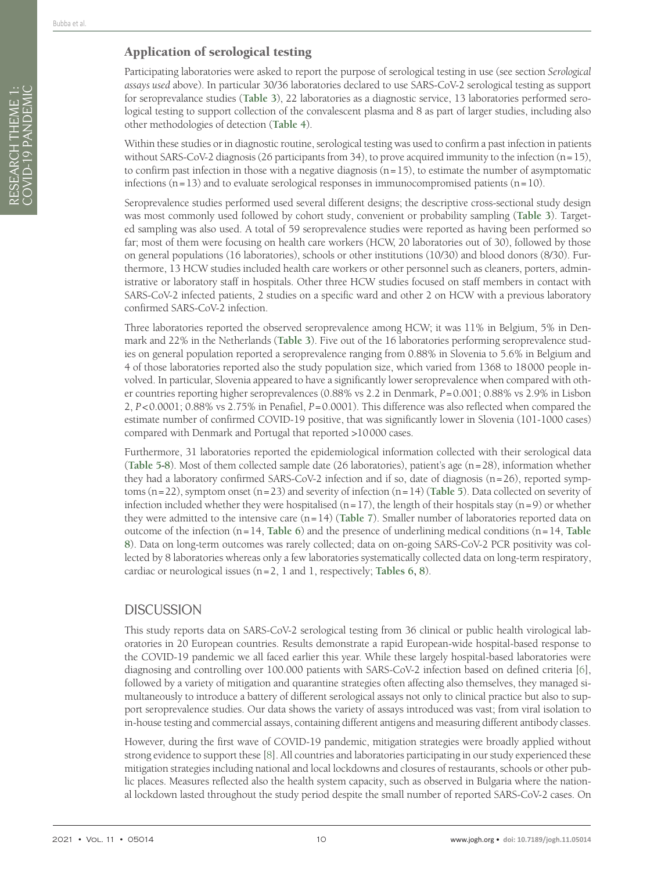### Application of serological testing

Participating laboratories were asked to report the purpose of serological testing in use (see section *Serological assays used* above). In particular 30/36 laboratories declared to use SARS-CoV-2 serological testing as support for seroprevalance studies (**[Table](#page-10-0) 3**), 22 laboratories as a diagnostic service, 13 laboratories performed serological testing to support collection of the convalescent plasma and 8 as part of larger studies, including also other methodologies of detection (**[Table](#page-11-0) 4**).

Within these studies or in diagnostic routine, serological testing was used to confirm a past infection in patients without SARS-CoV-2 diagnosis (26 participants from 34), to prove acquired immunity to the infection (n=15), to confirm past infection in those with a negative diagnosis  $(n=15)$ , to estimate the number of asymptomatic infections  $(n=13)$  and to evaluate serological responses in immunocompromised patients  $(n=10)$ .

Seroprevalence studies performed used several different designs; the descriptive cross-sectional study design was most commonly used followed by cohort study, convenient or probability sampling (**[Table](#page-10-0) 3**). Targeted sampling was also used. A total of 59 seroprevalence studies were reported as having been performed so far; most of them were focusing on health care workers (HCW, 20 laboratories out of 30), followed by those on general populations (16 laboratories), schools or other institutions (10/30) and blood donors (8/30). Furthermore, 13 HCW studies included health care workers or other personnel such as cleaners, porters, administrative or laboratory staff in hospitals. Other three HCW studies focused on staff members in contact with SARS-CoV-2 infected patients, 2 studies on a specific ward and other 2 on HCW with a previous laboratory confirmed SARS-CoV-2 infection.

Three laboratories reported the observed seroprevalence among HCW; it was 11% in Belgium, 5% in Denmark and 22% in the Netherlands (**[Table](#page-10-0) 3**). Five out of the 16 laboratories performing seroprevalence studies on general population reported a seroprevalence ranging from 0.88% in Slovenia to 5.6% in Belgium and 4 of those laboratories reported also the study population size, which varied from 1368 to 18000 people involved. In particular, Slovenia appeared to have a significantly lower seroprevalence when compared with other countries reporting higher seroprevalences (0.88% vs 2.2 in Denmark, *P*=0.001; 0.88% vs 2.9% in Lisbon 2, *P*<0.0001; 0.88% vs 2.75% in Penafiel, *P*=0.0001). This difference was also reflected when compared the estimate number of confirmed COVID-19 positive, that was significantly lower in Slovenia (101-1000 cases) compared with Denmark and Portugal that reported >10000 cases.

Furthermore, 31 laboratories reported the epidemiological information collected with their serological data (**[Table](#page-13-0) 5-[8](#page-16-0)**). Most of them collected sample date (26 laboratories), patient's age (n=28), information whether they had a laboratory confirmed SARS-CoV-2 infection and if so, date of diagnosis (n=26), reported symptoms (n=22), symptom onset (n=23) and severity of infection (n=14) (**[Table](#page-13-0) 5**). Data collected on severity of infection included whether they were hospitalised (n=17), the length of their hospitals stay (n=9) or whether they were admitted to the intensive care (n=14) (**[Table](#page-15-0) 7**). Smaller number of laboratories reported data on outcome of the infection  $(n=14, Table 6)$  $(n=14, Table 6)$  $(n=14, Table 6)$  and the presence of underlining medical conditions  $(n=14, Table 6)$ **[8](#page-16-0)**). Data on long-term outcomes was rarely collected; data on on-going SARS-CoV-2 PCR positivity was collected by 8 laboratories whereas only a few laboratories systematically collected data on long-term respiratory, cardiac or neurological issues (n=2, 1 and 1, respectively; **[Tables](#page-14-0) 6, [8](#page-16-0)**).

### **DISCUSSION**

This study reports data on SARS-CoV-2 serological testing from 36 clinical or public health virological laboratories in 20 European countries. Results demonstrate a rapid European-wide hospital-based response to the COVID-19 pandemic we all faced earlier this year. While these largely hospital-based laboratories were diagnosing and controlling over 100.000 patients with SARS-CoV-2 infection based on defined criteria [[6\]](#page-20-5), followed by a variety of mitigation and quarantine strategies often affecting also themselves, they managed simultaneously to introduce a battery of different serological assays not only to clinical practice but also to support seroprevalence studies. Our data shows the variety of assays introduced was vast; from viral isolation to in-house testing and commercial assays, containing different antigens and measuring different antibody classes.

However, during the first wave of COVID-19 pandemic, mitigation strategies were broadly applied without strong evidence to support these [[8\]](#page-20-7). All countries and laboratories participating in our study experienced these mitigation strategies including national and local lockdowns and closures of restaurants, schools or other public places. Measures reflected also the health system capacity, such as observed in Bulgaria where the national lockdown lasted throughout the study period despite the small number of reported SARS-CoV-2 cases. On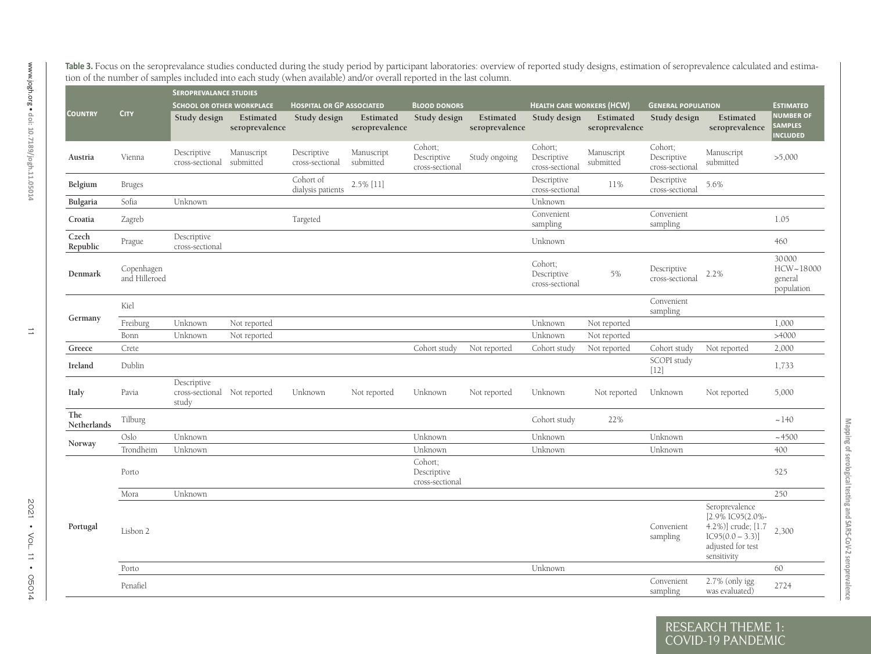|                    |                             | <b>SEROPREVALANCE STUDIES</b>                        |                             |                                  |                             |                                           |                             |                                           |                             |                                           |                                                                                                                    |                                                      |
|--------------------|-----------------------------|------------------------------------------------------|-----------------------------|----------------------------------|-----------------------------|-------------------------------------------|-----------------------------|-------------------------------------------|-----------------------------|-------------------------------------------|--------------------------------------------------------------------------------------------------------------------|------------------------------------------------------|
|                    |                             | <b>SCHOOL OR OTHER WORKPLACE</b>                     |                             | <b>HOSPITAL OR GP ASSOCIATED</b> |                             | <b>BLOOD DONORS</b>                       |                             | <b>HEALTH CARE WORKERS (HCW)</b>          |                             | <b>GENERAL POPULATION</b>                 |                                                                                                                    | <b>ESTIMATED</b>                                     |
| <b>COUNTRY</b>     | <b>CITY</b>                 | Study design                                         | Estimated<br>seroprevalence | Study design                     | Estimated<br>seroprevalence | Study design                              | Estimated<br>seroprevalence | Study design                              | Estimated<br>seroprevalence | Study design                              | Estimated<br>seroprevalence                                                                                        | <b>NUMBER OF</b><br><b>SAMPLES</b><br><b>NCLUDED</b> |
| Austria            | Vienna                      | Descriptive<br>cross-sectional                       | Manuscript<br>submitted     | Descriptive<br>cross-sectional   | Manuscript<br>submitted     | Cohort;<br>Descriptive<br>cross-sectional | Study ongoing               | Cohort;<br>Descriptive<br>cross-sectional | Manuscript<br>submitted     | Cohort;<br>Descriptive<br>cross-sectional | Manuscript<br>submitted                                                                                            | >5,000                                               |
| Belgium            | <b>Bruges</b>               |                                                      |                             | Cohort of<br>dialysis patients   | 2.5% [11]                   |                                           |                             | Descriptive<br>cross-sectional            | 11%                         | Descriptive<br>cross-sectional            | 5.6%                                                                                                               |                                                      |
| Bulgaria           | Sofia                       | Unknown                                              |                             |                                  |                             |                                           |                             | Unknown                                   |                             |                                           |                                                                                                                    |                                                      |
| Croatia            | Zagreb                      |                                                      |                             | Targeted                         |                             |                                           |                             | Convenient<br>sampling                    |                             | Convenient<br>sampling                    |                                                                                                                    | 1.05                                                 |
| Czech<br>Republic  | Prague                      | Descriptive<br>cross-sectional                       |                             |                                  |                             |                                           |                             | Unknown                                   |                             |                                           |                                                                                                                    | 460                                                  |
| Denmark            | Copenhagen<br>and Hilleroed |                                                      |                             |                                  |                             |                                           |                             | Cohort;<br>Descriptive<br>cross-sectional | 5%                          | Descriptive<br>cross-sectional            | 2.2%                                                                                                               | 30000<br>HCW~18000<br>general<br>population          |
|                    | Kiel                        |                                                      |                             |                                  |                             |                                           |                             |                                           |                             | Convenient<br>sampling                    |                                                                                                                    |                                                      |
| Germany            | Freiburg                    | Unknown                                              | Not reported                |                                  |                             |                                           |                             | Unknown                                   | Not reported                |                                           |                                                                                                                    | 1,000                                                |
|                    | Bonn                        | Unknown                                              | Not reported                |                                  |                             |                                           |                             | Unknown                                   | Not reported                |                                           |                                                                                                                    | >4000                                                |
| Greece             | Crete                       |                                                      |                             |                                  |                             | Cohort study                              | Not reported                | Cohort study                              | Not reported                | Cohort study                              | Not reported                                                                                                       | 2,000                                                |
| Ireland            | Dublin                      |                                                      |                             |                                  |                             |                                           |                             |                                           |                             | SCOPI study<br>$[12]$                     |                                                                                                                    | 1,733                                                |
| Italy              | Pavia                       | Descriptive<br>cross-sectional Not reported<br>study |                             | Unknown                          | Not reported                | Unknown                                   | Not reported                | Unknown                                   | Not reported                | Unknown                                   | Not reported                                                                                                       | 5,000                                                |
| The<br>Netherlands | Tilburg                     |                                                      |                             |                                  |                             |                                           |                             | Cohort study                              | 22%                         |                                           |                                                                                                                    | ~140                                                 |
| Norway             | Oslo                        | Unknown                                              |                             |                                  |                             | Unknown                                   |                             | Unknown                                   |                             | Unknown                                   |                                                                                                                    | ~1.4500                                              |
|                    | Trondheim                   | Unknown                                              |                             |                                  |                             | Unknown                                   |                             | Unknown                                   |                             | Unknown                                   |                                                                                                                    | 400                                                  |
|                    | Porto                       |                                                      |                             |                                  |                             | Cohort;<br>Descriptive<br>cross-sectional |                             |                                           |                             |                                           |                                                                                                                    | 525                                                  |
|                    | Mora                        | Unknown                                              |                             |                                  |                             |                                           |                             |                                           |                             |                                           |                                                                                                                    | 250                                                  |
| Portugal           | Lisbon 2                    |                                                      |                             |                                  |                             |                                           |                             |                                           |                             | Convenient<br>sampling                    | Seroprevalence<br>[2.9% IC95(2.0%-<br>4.2%)] crude; [1.7<br>$IC95(0.0 - 3.3)]$<br>adjusted for test<br>sensitivity | 2,300                                                |
|                    | Porto                       |                                                      |                             |                                  |                             |                                           |                             | Unknown                                   |                             |                                           |                                                                                                                    | 60                                                   |
|                    | Penafiel                    |                                                      |                             |                                  |                             |                                           |                             |                                           |                             | Convenient<br>sampling                    | 2.7% (only igg<br>was evaluated)                                                                                   | 2724                                                 |

Mapping of serological testing and SARS-CoV-2 seroprevalence

<span id="page-10-0"></span> $\overline{C}$  OVID-19 PA

RESEARCH THEME 1: COVID-19 PANDEMIC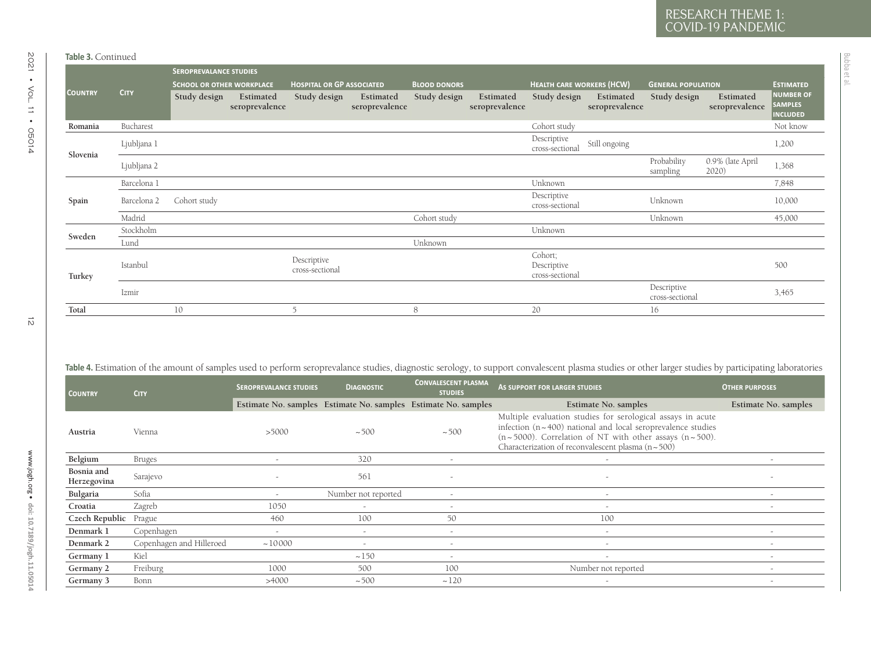|                           |               | <b>SEROPREVALANCE STUDIES</b>    |                               |                                  |                             |                                                                                                                                                                                                        |                             |                                           |                                                                                                                                                                                                                                                                         |                                |                             |                                                       |
|---------------------------|---------------|----------------------------------|-------------------------------|----------------------------------|-----------------------------|--------------------------------------------------------------------------------------------------------------------------------------------------------------------------------------------------------|-----------------------------|-------------------------------------------|-------------------------------------------------------------------------------------------------------------------------------------------------------------------------------------------------------------------------------------------------------------------------|--------------------------------|-----------------------------|-------------------------------------------------------|
|                           |               | <b>SCHOOL OR OTHER WORKPLACE</b> |                               | <b>HOSPITAL OR GP ASSOCIATED</b> |                             | <b>BLOOD DONORS</b>                                                                                                                                                                                    |                             | <b>HEALTH CARE WORKERS (HCW)</b>          |                                                                                                                                                                                                                                                                         | <b>GENERAL POPULATION</b>      |                             | <b>ESTIMATED</b>                                      |
| <b>COUNTRY</b>            | <b>CITY</b>   | Study design                     | Estimated<br>seroprevalence   | Study design                     | Estimated<br>seroprevalence | Study design                                                                                                                                                                                           | Estimated<br>seroprevalence | Study design                              | Estimated<br>seroprevalence                                                                                                                                                                                                                                             | Study design                   | Estimated<br>seroprevalence | <b>NUMBER OF</b><br><b>SAMPLES</b><br><b>INCLUDED</b> |
| Romania                   | Bucharest     |                                  |                               |                                  |                             |                                                                                                                                                                                                        |                             | Cohort study                              |                                                                                                                                                                                                                                                                         |                                |                             | Not know                                              |
| Slovenia                  | Ljubljana 1   |                                  |                               |                                  |                             |                                                                                                                                                                                                        |                             | Descriptive<br>cross-sectional            | Still ongoing                                                                                                                                                                                                                                                           |                                |                             | 1,200                                                 |
|                           | Ljubljana 2   |                                  |                               |                                  |                             |                                                                                                                                                                                                        |                             |                                           |                                                                                                                                                                                                                                                                         | Probability<br>sampling        | 0.9% (late April<br>2020)   | 1,368                                                 |
|                           | Barcelona 1   |                                  |                               |                                  |                             |                                                                                                                                                                                                        |                             | Unknown                                   |                                                                                                                                                                                                                                                                         |                                |                             | 7,848                                                 |
| Spain                     | Barcelona 2   | Cohort study                     |                               |                                  |                             |                                                                                                                                                                                                        |                             | Descriptive<br>cross-sectional            |                                                                                                                                                                                                                                                                         | Unknown                        |                             | 10,000                                                |
|                           | Madrid        |                                  |                               |                                  |                             | Cohort study                                                                                                                                                                                           |                             |                                           |                                                                                                                                                                                                                                                                         | Unknown                        |                             | 45,000                                                |
| Sweden                    | Stockholm     |                                  |                               |                                  |                             |                                                                                                                                                                                                        |                             | Unknown                                   |                                                                                                                                                                                                                                                                         |                                |                             |                                                       |
|                           | Lund          |                                  |                               |                                  |                             | Unknown                                                                                                                                                                                                |                             |                                           |                                                                                                                                                                                                                                                                         |                                |                             |                                                       |
| Turkey                    | Istanbul      |                                  |                               | Descriptive<br>cross-sectional   |                             |                                                                                                                                                                                                        |                             | Cohort;<br>Descriptive<br>cross-sectional |                                                                                                                                                                                                                                                                         |                                |                             | 500                                                   |
|                           | Izmir         |                                  |                               |                                  |                             |                                                                                                                                                                                                        |                             |                                           |                                                                                                                                                                                                                                                                         | Descriptive<br>cross-sectional |                             | 3,465                                                 |
|                           |               |                                  |                               |                                  |                             |                                                                                                                                                                                                        |                             |                                           |                                                                                                                                                                                                                                                                         |                                |                             |                                                       |
| Total                     |               | 10                               |                               | $\overline{5}$                   |                             | 8                                                                                                                                                                                                      |                             | 20                                        |                                                                                                                                                                                                                                                                         | 16                             |                             |                                                       |
|                           |               |                                  |                               |                                  |                             | Table 4. Estimation of the amount of samples used to perform seroprevalance studies, diagnostic serology, to support convalescent plasma studies or other larger studies by participating laboratories |                             |                                           |                                                                                                                                                                                                                                                                         |                                |                             |                                                       |
| <b>COUNTRY</b>            | <b>CITY</b>   |                                  | <b>SEROPREVALANCE STUDIES</b> |                                  | <b>DIAGNOSTIC</b>           | <b>CONVALESCENT PLASMA</b><br><b>STUDIES</b>                                                                                                                                                           |                             | AS SUPPORT FOR LARGER STUDIES             |                                                                                                                                                                                                                                                                         |                                | <b>OTHER PURPOSES</b>       |                                                       |
|                           |               |                                  |                               |                                  |                             | Estimate No. samples Estimate No. samples Estimate No. samples                                                                                                                                         |                             |                                           | Estimate No. samples                                                                                                                                                                                                                                                    |                                | Estimate No. samples        |                                                       |
| Austria                   | Vienna        |                                  | >5000                         |                                  | ~100                        | ~100                                                                                                                                                                                                   |                             |                                           | Multiple evaluation studies for serological assays in acute<br>infection $(n \sim 400)$ national and local seroprevalence studies<br>$(n \sim 5000)$ . Correlation of NT with other assays $(n \sim 500)$ .<br>Characterization of reconvalescent plasma $(n \sim 500)$ |                                |                             |                                                       |
| Belgium                   | <b>Bruges</b> |                                  | $\sim$                        |                                  | 320                         | $\sim$                                                                                                                                                                                                 |                             |                                           | $\overline{\phantom{a}}$                                                                                                                                                                                                                                                |                                |                             | $\sim$                                                |
| Bosnia and<br>Herzegovina | Sarajevo      |                                  | $\overline{a}$                |                                  | 561                         |                                                                                                                                                                                                        |                             |                                           | $\sim$                                                                                                                                                                                                                                                                  |                                |                             |                                                       |
| Bulgaria                  | Sofia         |                                  | $\sim$                        |                                  | Number not reported         | $\sim$                                                                                                                                                                                                 |                             |                                           | $\sim$                                                                                                                                                                                                                                                                  |                                |                             | $\sim$                                                |
| Croatia                   | Zagreb        |                                  | 1050                          |                                  | $\sim$                      | $\overline{a}$                                                                                                                                                                                         |                             |                                           | $\sim$                                                                                                                                                                                                                                                                  |                                |                             | $\overline{a}$                                        |
| Czech Republic Prague     |               |                                  | 460                           |                                  | 100                         | 50                                                                                                                                                                                                     |                             |                                           | 100                                                                                                                                                                                                                                                                     |                                |                             |                                                       |
| Denmark 1                 | Copenhagen    |                                  | $\sim$                        |                                  | $\sim$                      | $\overline{a}$                                                                                                                                                                                         |                             |                                           | $\sim$                                                                                                                                                                                                                                                                  |                                |                             | $\sim$                                                |
| Denmark 2                 |               | Copenhagen and Hilleroed         | ~10000                        |                                  | $\sim$                      | $\sim$                                                                                                                                                                                                 |                             |                                           | $\sim$                                                                                                                                                                                                                                                                  |                                |                             | $\overline{\phantom{a}}$                              |
| Germany 1                 | Kiel          |                                  |                               |                                  | ~150                        | $\sim$                                                                                                                                                                                                 |                             |                                           | $\sim$                                                                                                                                                                                                                                                                  |                                |                             | $\sim$                                                |
| Germany 2                 | Freiburg      |                                  | 1000                          |                                  | 500                         | 100                                                                                                                                                                                                    |                             |                                           | Number not reported                                                                                                                                                                                                                                                     |                                |                             | $\overline{a}$                                        |

<span id="page-11-0"></span>

| <b>COUNTRY</b>            | <b>CITY</b>              | <b>SEROPREVALANCE STUDIES</b> | <b>DIAGNOSTIC</b>                                              | <b>CONVALESCENT PLASMA</b><br><b>STUDIES</b> | AS SUPPORT FOR LARGER STUDIES                                                                                                                                                                                                                                           | <b>OTHER PURPOSES</b>    |
|---------------------------|--------------------------|-------------------------------|----------------------------------------------------------------|----------------------------------------------|-------------------------------------------------------------------------------------------------------------------------------------------------------------------------------------------------------------------------------------------------------------------------|--------------------------|
|                           |                          |                               | Estimate No. samples Estimate No. samples Estimate No. samples |                                              | Estimate No. samples                                                                                                                                                                                                                                                    | Estimate No. samples     |
| Austria                   | Vienna                   | >5000                         | ~100                                                           | ~100                                         | Multiple evaluation studies for serological assays in acute<br>infection $(n \sim 400)$ national and local seroprevalence studies<br>$(n \sim 5000)$ . Correlation of NT with other assays $(n \sim 500)$ .<br>Characterization of reconvalescent plasma $(n \sim 500)$ |                          |
| Belgium                   | <b>Bruges</b>            | $\overline{\phantom{0}}$      | 320                                                            | $\overline{\phantom{0}}$                     | $\overline{\phantom{a}}$                                                                                                                                                                                                                                                |                          |
| Bosnia and<br>Herzegovina | Sarajevo                 | $\overline{\phantom{a}}$      | 561                                                            |                                              | $\overline{\phantom{a}}$                                                                                                                                                                                                                                                |                          |
| Bulgaria                  | Sofia                    | $\overline{\phantom{0}}$      | Number not reported                                            | $\overline{\phantom{0}}$                     | $\overline{\phantom{a}}$                                                                                                                                                                                                                                                | $\overline{\phantom{a}}$ |
| Croatia                   | Zagreb                   | 1050                          | $\overline{\phantom{a}}$                                       | $\overline{\phantom{0}}$                     | $\overline{\phantom{a}}$                                                                                                                                                                                                                                                | $\sim$                   |
| Czech Republic            | Prague                   | 460                           | 100                                                            | 50                                           | 100                                                                                                                                                                                                                                                                     |                          |
| Denmark 1                 | Copenhagen               | $\overline{\phantom{a}}$      | $\overline{\phantom{a}}$                                       | $\overline{a}$                               | $\overline{\phantom{a}}$                                                                                                                                                                                                                                                | $\overline{\phantom{a}}$ |
| Denmark 2                 | Copenhagen and Hilleroed | ~10000                        |                                                                | $\overline{\phantom{0}}$                     | $\overline{\phantom{a}}$                                                                                                                                                                                                                                                | $\overline{\phantom{0}}$ |
| Germany 1                 | Kiel                     |                               | ~150                                                           | $\overline{\phantom{0}}$                     | $\overline{\phantom{a}}$                                                                                                                                                                                                                                                |                          |
| Germany 2                 | Freiburg                 | 1000                          | 500                                                            | 100                                          | Number not reported                                                                                                                                                                                                                                                     | $\overline{\phantom{a}}$ |
| Germany 3                 | Bonn                     | >4000                         | ~100                                                           | ~120                                         | $\overline{\phantom{0}}$                                                                                                                                                                                                                                                | ۰                        |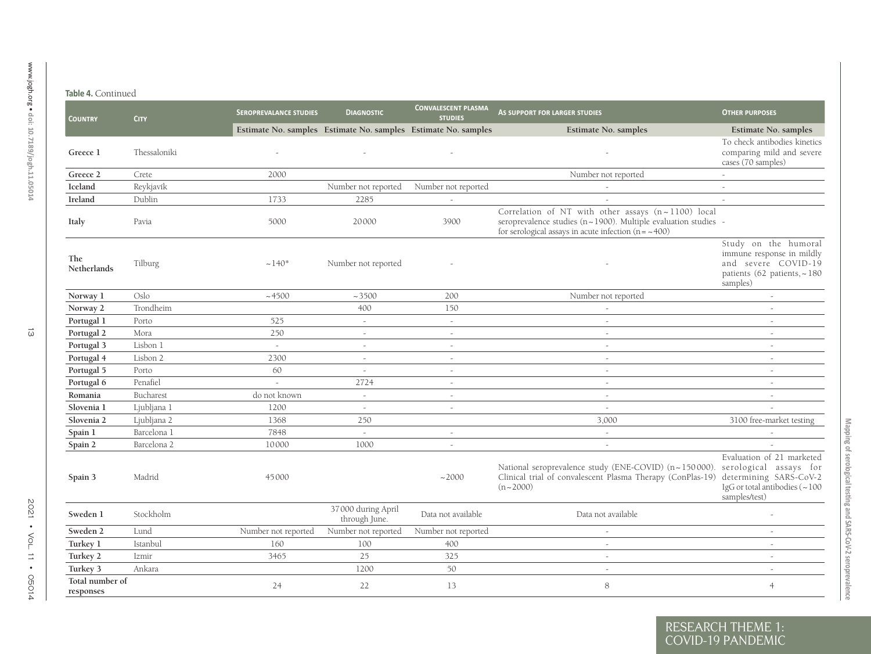| <b>COUNTRY</b>               | <b>CITY</b>  | <b>SEROPREVALANCE STUDIES</b>                                  | <b>DIAGNOSTIC</b>                   | <b>CONVALESCENT PLASMA</b><br><b>STUDIES</b> | AS SUPPORT FOR LARGER STUDIES                                                                                                                                                               | <b>OTHER PURPOSES</b>                                                                                               |
|------------------------------|--------------|----------------------------------------------------------------|-------------------------------------|----------------------------------------------|---------------------------------------------------------------------------------------------------------------------------------------------------------------------------------------------|---------------------------------------------------------------------------------------------------------------------|
|                              |              | Estimate No. samples Estimate No. samples Estimate No. samples |                                     |                                              | Estimate No. samples                                                                                                                                                                        | Estimate No. samples                                                                                                |
| Greece 1                     | Thessaloniki |                                                                |                                     |                                              |                                                                                                                                                                                             | To check antibodies kinetics<br>comparing mild and severe<br>cases (70 samples)                                     |
| Greece 2                     | Crete        | 2000                                                           |                                     |                                              | Number not reported                                                                                                                                                                         | $\sim$                                                                                                              |
| Iceland                      | Reykjavík    |                                                                | Number not reported                 | Number not reported                          |                                                                                                                                                                                             | $\sim$                                                                                                              |
| Ireland                      | Dublin       | 1733                                                           | 2285                                | $\sim$                                       |                                                                                                                                                                                             | $\sim$                                                                                                              |
| Italy                        | Pavia        | 5000                                                           | 20000                               | 3900                                         | Correlation of NT with other assays (n~1100) local<br>seroprevalence studies ( $n \sim 1900$ ). Multiple evaluation studies -<br>for serological assays in acute infection $(n = \sim 400)$ |                                                                                                                     |
| The<br><b>Netherlands</b>    | Tilburg      | $~140*$                                                        | Number not reported                 |                                              |                                                                                                                                                                                             | Study on the humoral<br>immune response in mildly<br>and severe COVID-19<br>patients (62 patients, ~180<br>samples) |
| Norway 1                     | Oslo         | ~14500                                                         | ~1.3500                             | 200                                          | Number not reported                                                                                                                                                                         |                                                                                                                     |
| Norway 2                     | Trondheim    |                                                                | 400                                 | 150                                          | $\sim$                                                                                                                                                                                      | $\sim$                                                                                                              |
| Portugal 1                   | Porto        | 525                                                            | $\sim$                              | $\sim$                                       |                                                                                                                                                                                             |                                                                                                                     |
| Portugal 2                   | Mora         | 250                                                            | $\sim$                              | $\sim$                                       | $\sim$                                                                                                                                                                                      | a.                                                                                                                  |
| Portugal 3                   | Lisbon 1     | $\sim$                                                         | $\sim$                              | $\sim$                                       | $\sim$                                                                                                                                                                                      | $\sim$                                                                                                              |
| Portugal 4                   | Lisbon 2     | 2300                                                           | $\sim$                              | $\sim$                                       | $\sim$                                                                                                                                                                                      | $\sim$                                                                                                              |
| Portugal 5                   | Porto        | 60                                                             | $\sim$                              | $\sim$                                       | $\sim$                                                                                                                                                                                      | $\sim$                                                                                                              |
| Portugal 6                   | Penafiel     | $\sim$                                                         | 2724                                | $\sim$                                       | $\sim$                                                                                                                                                                                      | $\sim$                                                                                                              |
| Romania                      | Bucharest    | do not known                                                   | $\sim$                              |                                              | $\sim$                                                                                                                                                                                      |                                                                                                                     |
| Slovenia 1                   | Ljubljana 1  | 1200                                                           | $\sim$                              | $\sim$                                       | $\sim$                                                                                                                                                                                      | $\sim$                                                                                                              |
| Slovenia 2                   | Ljubljana 2  | 1368                                                           | 250                                 |                                              | 3,000                                                                                                                                                                                       | 3100 free-market testing                                                                                            |
| Spain 1                      | Barcelona 1  | 7848                                                           | $\sim$                              | $\sim$                                       | $\sim$                                                                                                                                                                                      |                                                                                                                     |
| Spain 2                      | Barcelona 2  | 10000                                                          | 1000                                | $\sim$                                       | $\sim$                                                                                                                                                                                      |                                                                                                                     |
| Spain 3                      | Madrid       | 45000                                                          |                                     | ~2000                                        | National seroprevalence study (ENE-COVID) (n~150000). serological assays for<br>Clinical trial of convalescent Plasma Therapy (ConPlas-19) determining SARS-CoV-2<br>$(n \sim 2000)$        | Evaluation of 21 marketed<br>IgG or total antibodies ( $\sim$ 100<br>samples/test)                                  |
| Sweden 1                     | Stockholm    |                                                                | 37000 during April<br>through June. | Data not available                           | Data not available                                                                                                                                                                          |                                                                                                                     |
| Sweden 2                     | Lund         | Number not reported                                            | Number not reported                 | Number not reported                          |                                                                                                                                                                                             |                                                                                                                     |
| Turkey 1                     | Istanbul     | 160                                                            | 100                                 | 400                                          | $\sim$                                                                                                                                                                                      | $\sim$                                                                                                              |
| Turkey 2                     | Izmir        | 3465                                                           | 25                                  | 325                                          | $\sim$                                                                                                                                                                                      | $\sim$                                                                                                              |
| Turkey 3                     | Ankara       |                                                                | 1200                                | 50                                           | $\sim$                                                                                                                                                                                      | $\sim$                                                                                                              |
| Total number of<br>responses |              | 24                                                             | 22                                  | 13                                           | 8                                                                                                                                                                                           | $\overline{4}$                                                                                                      |

Mapping of serological testing and SARS-CoV-2 seroprevalence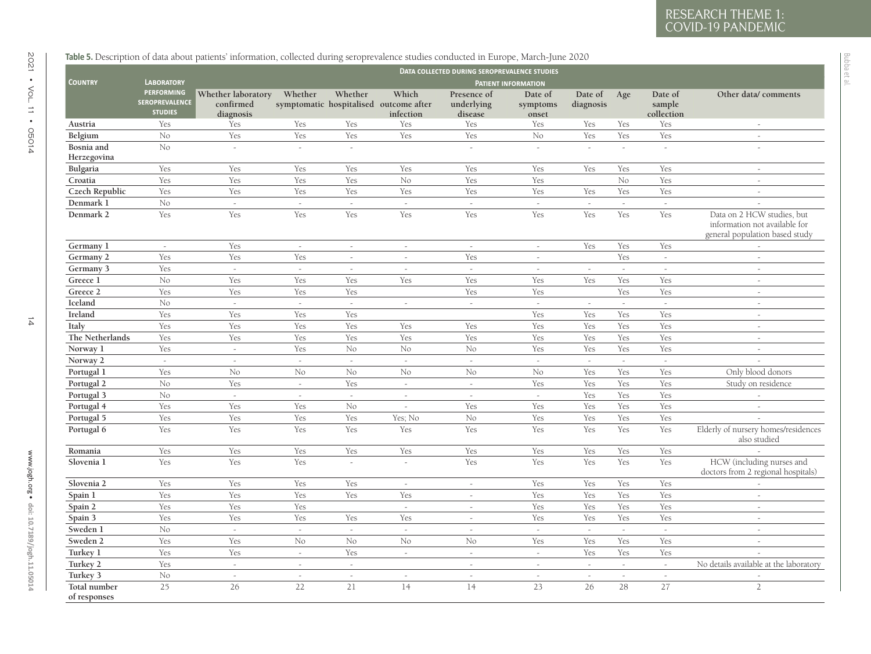<span id="page-13-0"></span>

|                           |                                                       |                                              |                |                |                                                              | DATA COLLECTED DURING SEROPREVALENCE STUDIES |                              |                      |        |                                 |                                                                                               |
|---------------------------|-------------------------------------------------------|----------------------------------------------|----------------|----------------|--------------------------------------------------------------|----------------------------------------------|------------------------------|----------------------|--------|---------------------------------|-----------------------------------------------------------------------------------------------|
| <b>COUNTRY</b>            | <b>LABORATORY</b>                                     |                                              |                |                |                                                              |                                              | <b>PATIENT INFORMATION</b>   |                      |        |                                 |                                                                                               |
|                           | <b>PERFORMING</b><br>SEROPREVALENCE<br><b>STUDIES</b> | Whether laboratory<br>confirmed<br>diagnosis | Whether        | Whether        | Which<br>symptomatic hospitalised outcome after<br>infection | Presence of<br>underlying<br>disease         | Date of<br>symptoms<br>onset | Date of<br>diagnosis | Age    | Date of<br>sample<br>collection | Other data/comments                                                                           |
| Austria                   | Yes                                                   | Yes                                          | Yes            | Yes            | Yes                                                          | Yes                                          | Yes                          | Yes                  | Yes    | Yes                             |                                                                                               |
| Belgium                   | No                                                    | Yes                                          | Yes            | Yes            | Yes                                                          | Yes                                          | No                           | Yes                  | Yes    | Yes                             | $\sim$                                                                                        |
| Bosnia and<br>Herzegovina | No                                                    | $\sim$                                       | $\overline{a}$ | $\sim$         |                                                              |                                              | $\sim$                       | $\sim$               | $\sim$ | $\sim$                          |                                                                                               |
| Bulgaria                  | Yes                                                   | Yes                                          | Yes            | Yes            | Yes                                                          | Yes                                          | Yes                          | Yes                  | Yes    | Yes                             |                                                                                               |
| Croatia                   | Yes                                                   | Yes                                          | Yes            | Yes            | No                                                           | Yes                                          | Yes                          |                      | No     | Yes                             | $\sim$                                                                                        |
| Czech Republic            | Yes                                                   | Yes                                          | Yes            | Yes            | Yes                                                          | Yes                                          | Yes                          | Yes                  | Yes    | Yes                             |                                                                                               |
| Denmark 1                 | No                                                    | $\omega$                                     | $\omega$       | $\sim$         | $\mathbb{R}^2$                                               | $\sim$                                       | $\sim$                       | $\mathbb{R}^2$       | $\sim$ | $\sim$                          |                                                                                               |
| Denmark 2                 | Yes                                                   | Yes                                          | Yes            | Yes            | Yes                                                          | Yes                                          | Yes                          | Yes                  | Yes    | Yes                             | Data on 2 HCW studies, but<br>information not available for<br>general population based study |
| Germany 1                 | $\omega$                                              | Yes                                          | $\sim$         | $\sim$         | $\sim$                                                       | $\sim$                                       | $\overline{\phantom{a}}$     | Yes                  | Yes    | Yes                             |                                                                                               |
| Germany 2                 | Yes                                                   | Yes                                          | Yes            | $\overline{a}$ |                                                              | Yes                                          | $\overline{a}$               |                      | Yes    | $\sim$                          |                                                                                               |
| Germany 3                 | Yes                                                   | $\omega$                                     | $\sim$         | $\sim$         | $\sim$                                                       | $\sim$                                       | $\omega$                     | $\sim$               | $\sim$ | $\sim$                          | $\sim$                                                                                        |
| Greece 1                  | No                                                    | Yes                                          | Yes            | Yes            | Yes                                                          | Yes                                          | Yes                          | Yes                  | Yes    | Yes                             | $\sim$                                                                                        |
| Greece 2                  | Yes                                                   | Yes                                          | Yes            | Yes            |                                                              | Yes                                          | Yes                          |                      | Yes    | Yes                             | $\sim$                                                                                        |
| Iceland                   | No                                                    | $\sim$                                       | $\sim$         | $\sim$         | $\sim$                                                       | $\sim$                                       | $\sim$                       | $\sim$               | $\sim$ | $\sim$                          | $\sim$                                                                                        |
| Ireland                   | Yes                                                   | Yes                                          | Yes            | Yes            |                                                              |                                              | Yes                          | Yes                  | Yes    | Yes                             | $\sim$                                                                                        |
| Italy                     | Yes                                                   | Yes                                          | Yes            | Yes            | Yes                                                          | Yes                                          | Yes                          | Yes                  | Yes    | Yes                             | $\sim$                                                                                        |
| The Netherlands           | Yes                                                   | Yes                                          | Yes            | Yes            | Yes                                                          | Yes                                          | Yes                          | Yes                  | Yes    | Yes                             |                                                                                               |
| Norway 1                  | Yes                                                   | $\sim$                                       | Yes            | $\rm No$       | No                                                           | No                                           | Yes                          | Yes                  | Yes    | Yes                             | $\sim$                                                                                        |
| Norway 2                  | $\sim$                                                | $\sim$                                       | $\sim$         | $\sim$         | $\sim$                                                       | $\sim$                                       | $\sim$                       | $\sim$               | $\sim$ | $\sim$                          |                                                                                               |
| Portugal 1                | Yes                                                   | No                                           | No             | No             | No                                                           | No                                           | No                           | Yes                  | Yes    | Yes                             | Only blood donors                                                                             |
| Portugal 2                | No                                                    | Yes                                          | $\sim$         | Yes            | $\sim$                                                       | $\sim$                                       | Yes                          | Yes                  | Yes    | Yes                             | Study on residence                                                                            |
| Portugal 3                | No                                                    | $\omega$                                     | $\sim$         | $\mathcal{L}$  | $\sim$                                                       | $\sim$                                       | $\mathcal{L}$                | Yes                  | Yes    | Yes                             |                                                                                               |
| Portugal 4                | Yes                                                   | Yes                                          | Yes            | No             | $\sim$                                                       | Yes                                          | Yes                          | Yes                  | Yes    | Yes                             | $\sim$                                                                                        |
| Portugal 5                | Yes                                                   | Yes                                          | Yes            | Yes            | Yes; No                                                      | No                                           | Yes                          | Yes                  | Yes    | Yes                             |                                                                                               |
| Portugal 6                | Yes                                                   | Yes                                          | Yes            | Yes            | Yes                                                          | Yes                                          | Yes                          | Yes                  | Yes    | Yes                             | Elderly of nursery homes/residences<br>also studied                                           |
| Romania                   | Yes                                                   | Yes                                          | Yes            | Yes            | Yes                                                          | Yes                                          | Yes                          | Yes                  | Yes    | Yes                             |                                                                                               |
| Slovenia 1                | Yes                                                   | Yes                                          | Yes            | $\overline{a}$ |                                                              | Yes                                          | Yes                          | Yes                  | Yes    | Yes                             | HCW (including nurses and<br>doctors from 2 regional hospitals)                               |
| Slovenia 2                | Yes                                                   | Yes                                          | Yes            | Yes            | $\sim$                                                       | $\overline{\phantom{a}}$                     | Yes                          | Yes                  | Yes    | Yes                             |                                                                                               |
| Spain 1                   | Yes                                                   | Yes                                          | Yes            | Yes            | Yes                                                          | $\bar{\phantom{a}}$                          | Yes                          | Yes                  | Yes    | Yes                             | $\sim$                                                                                        |
| Spain 2                   | Yes                                                   | Yes                                          | Yes            |                | $\sim$                                                       | $\overline{a}$                               | Yes                          | Yes                  | Yes    | Yes                             | $\sim$                                                                                        |
| Spain 3                   | Yes                                                   | Yes                                          | Yes            | Yes            | Yes                                                          | $\sim$                                       | Yes                          | Yes                  | Yes    | Yes                             | $\sim$                                                                                        |
| Sweden 1                  | No                                                    | $\sim$                                       | $\sim$         | $\sim$         | $\sim$                                                       | $\sim$                                       | $\sim$                       | $\sim$               | $\sim$ | $\sim$                          |                                                                                               |
| Sweden 2                  | Yes                                                   | Yes                                          | No             | $\rm No$       | No                                                           | No                                           | Yes                          | Yes                  | Yes    | Yes                             | $\overline{a}$                                                                                |
| Turkey 1                  | Yes                                                   | Yes                                          | $\omega$       | Yes            | $\omega$                                                     | $\sim$                                       | $\sim$                       | Yes                  | Yes    | Yes                             |                                                                                               |
| Turkey 2                  | Yes                                                   | $\sim$                                       | $\sim$         | $\omega$       |                                                              | $\overline{\phantom{a}}$                     | $\sim$                       | $\sim$               | $\sim$ | $\sim$                          | No details available at the laboratory                                                        |
| Turkey 3                  | No                                                    | $\sim$                                       | $\sim$         | $\sim$         | $\sim$                                                       | $\sim$                                       | $\sim$                       | $\sim$               | $\sim$ | $\sim$                          |                                                                                               |
|                           | 25                                                    | 26                                           | 22             | 21             | 14                                                           | 14                                           | 23                           | 26                   | 28     |                                 | $\overline{2}$                                                                                |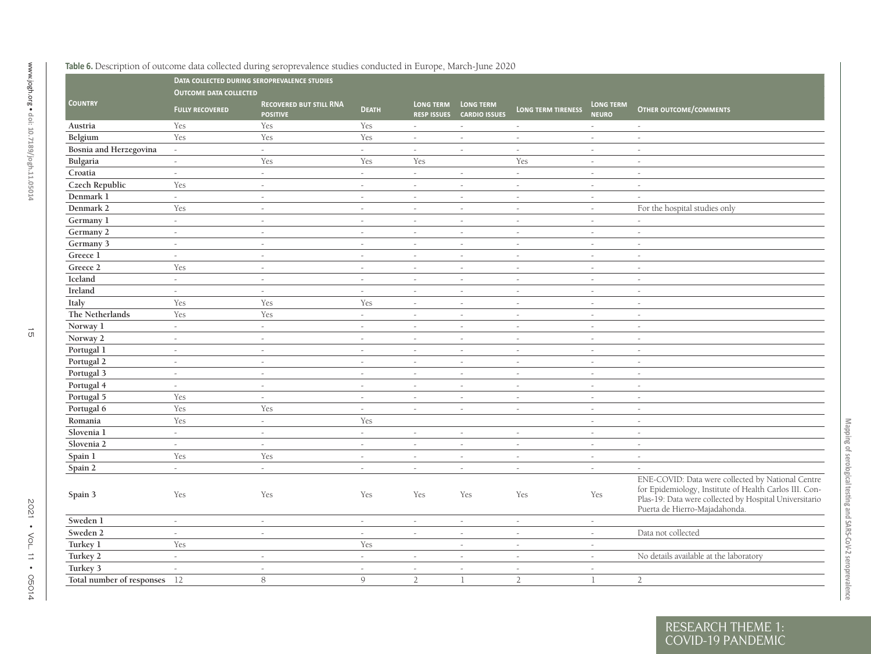<span id="page-14-0"></span>

|                              |                               | DATA COLLECTED DURING SEROPREVALENCE STUDIES      |                          |                  |                                                      |                           |                                  |                                                                                                                                                                                                        |
|------------------------------|-------------------------------|---------------------------------------------------|--------------------------|------------------|------------------------------------------------------|---------------------------|----------------------------------|--------------------------------------------------------------------------------------------------------------------------------------------------------------------------------------------------------|
|                              | <b>OUTCOME DATA COLLECTED</b> |                                                   |                          |                  |                                                      |                           |                                  |                                                                                                                                                                                                        |
| <b>COUNTRY</b>               | <b>FULLY RECOVERED</b>        | <b>RECOVERED BUT STILL RNA</b><br><b>POSITIVE</b> | <b>DEATH</b>             | <b>LONG TERM</b> | <b>LONG TERM</b><br><b>RESP ISSUES CARDIO ISSUES</b> | <b>LONG TERM TIRENESS</b> | <b>LONG TERM</b><br><b>NEURO</b> | <b>OTHER OUTCOME/COMMENTS</b>                                                                                                                                                                          |
| Austria                      | Yes                           | Yes                                               | Yes                      | $\sim$           | $\sim$                                               | $\sim$                    | $\omega$                         | $\omega$                                                                                                                                                                                               |
| Belgium                      | Yes                           | Yes                                               | Yes                      | $\sim$           | $\sim$                                               | $\sim$                    | $\sim$                           | $\sim$                                                                                                                                                                                                 |
| Bosnia and Herzegovina       | $\sim$                        | $\sim$                                            | $\sim$                   | $\sim$           | $\sim$                                               | $\sim$                    | $\sim$                           | $\sim$                                                                                                                                                                                                 |
| Bulgaria                     | $\mathbb{Z}^2$                | Yes                                               | Yes                      | Yes              |                                                      | Yes                       | $\overline{a}$                   | $\overline{a}$                                                                                                                                                                                         |
| Croatia                      | $\sim$                        | $\sim$                                            | $\omega$                 | $\sim$           | $\overline{\phantom{a}}$                             | $\overline{\phantom{a}}$  | $\overline{\phantom{a}}$         | $\overline{\phantom{a}}$                                                                                                                                                                               |
| Czech Republic               | Yes                           | $\sim$                                            | $\sim$                   | $\sim$           | $\sim$                                               | $\sim$                    | $\sim$                           | $\sim$                                                                                                                                                                                                 |
| Denmark 1                    | ÷.                            | $\sim$                                            | $\omega$                 | $\omega$         | $\sim$                                               | $\sim$                    | $\omega$                         | $\sim$                                                                                                                                                                                                 |
| Denmark 2                    | Yes                           | $\sim$                                            | $\sim$                   | $\sim$           | $\sim$                                               | $\sim$                    | $\sim$                           | For the hospital studies only                                                                                                                                                                          |
| Germany 1                    | ÷.                            | $\sim$                                            | $\overline{\phantom{a}}$ | $\sim$           | $\sim$                                               | $\overline{a}$            | $\sim$                           | $\sim$                                                                                                                                                                                                 |
| Germany 2                    | $\sim$                        | $\sim$                                            | $\overline{\phantom{a}}$ | $\sim$           | $\sim$                                               | $\sim$                    | $\sim$                           | $\sim$                                                                                                                                                                                                 |
| Germany 3                    | $\sim$                        | $\sim$                                            | $\sim$                   | $\sim$           | $\sim$                                               | $\sim$                    | $\sim$                           | $\sim$                                                                                                                                                                                                 |
| Greece 1                     | $\overline{\phantom{a}}$      | $\sim$                                            | $\overline{\phantom{a}}$ | $\sim$           | $\overline{\phantom{a}}$                             | $\sim$                    | $\overline{\phantom{a}}$         | $\sim$                                                                                                                                                                                                 |
| Greece 2                     | Yes                           | $\sim$                                            | $\sim$                   | $\sim$           | $\sim$                                               | $\sim$                    | $\sim$                           | $\sim$                                                                                                                                                                                                 |
| Iceland                      | $\sim$                        | $\sim$                                            | $\sim$                   | $\sim$           | $\sim$                                               | $\sim$                    | $\sim$                           | $\sim$                                                                                                                                                                                                 |
| Ireland                      | $\overline{a}$                | $\sim$                                            | $\sim$                   | $\sim$           | $\sim$                                               | $\sim$                    | $\sim$                           | $\sim$                                                                                                                                                                                                 |
| Italy                        | Yes                           | Yes                                               | Yes                      | $\sim$           | $\sim$                                               | $\sim$                    | $\sim$                           | $\sim$                                                                                                                                                                                                 |
| The Netherlands              | Yes                           | Yes                                               | $\sim$                   | $\sim$           | $\overline{\phantom{a}}$                             | $\overline{\phantom{a}}$  | $\overline{\phantom{a}}$         | $\sim$                                                                                                                                                                                                 |
| Norway 1                     | $\sim$                        | $\omega$                                          | $\overline{a}$           | $\sim$           | $\sim$                                               | $\sim$                    | $\sim$                           | $\sim$                                                                                                                                                                                                 |
| Norway 2                     | $\sim$                        | $\sim$                                            | $\overline{a}$           | $\sim$           | $\sim$                                               | $\overline{a}$            | $\sim$                           | $\sim$                                                                                                                                                                                                 |
| Portugal 1                   | $\sim$                        | $\sim$                                            | $\sim$                   | $\sim$           | $\sim$                                               | $\sim$                    | $\sim$                           | $\sim$                                                                                                                                                                                                 |
| Portugal 2                   | $\overline{a}$                | $\sim$                                            | $\sim$                   | $\sim$           | $\overline{\phantom{a}}$                             | $\overline{a}$            | $\sim$                           | $\sim$                                                                                                                                                                                                 |
| Portugal 3                   | $\sim$                        | $\sim$                                            | $\sim$                   | $\sim$           | $\overline{\phantom{a}}$                             | $\sim$                    | $\overline{\phantom{a}}$         | $\sim$                                                                                                                                                                                                 |
| Portugal 4                   | $\overline{\phantom{a}}$      | $\sim$                                            | $\sim$                   | $\sim$           | $\sim$                                               | $\sim$                    | $\sim$                           | $\sim$                                                                                                                                                                                                 |
| Portugal 5                   | Yes                           | $\sim$                                            | $\sim$                   | $\sim$           | $\sim$                                               | $\sim$                    | $\sim$                           | $\sim$                                                                                                                                                                                                 |
| Portugal 6                   | Yes                           | Yes                                               | $\omega$                 | $\sim$           | $\sim$                                               | $\sim$                    | $\sim$                           | $\sim$                                                                                                                                                                                                 |
| Romania                      | Yes                           | $\sim$                                            | Yes                      |                  |                                                      |                           | $\sim$                           | $\sim$                                                                                                                                                                                                 |
| Slovenia 1                   | $\sim$                        | $\sim$                                            | $\sim$                   | $\sim$           | $\overline{\phantom{a}}$                             | $\sim$                    | $\overline{\phantom{a}}$         | $\sim$                                                                                                                                                                                                 |
| Slovenia 2                   | $\omega$                      | $\sim$                                            | $\bar{\phantom{a}}$      | $\sim$           | $\sim$                                               | $\sim$                    | $\sim$                           | $\sim$                                                                                                                                                                                                 |
| Spain 1                      | Yes                           | Yes                                               | $\sim$                   | $\sim$           | $\sim$                                               | $\sim$                    | $\sim$                           | $\sim$                                                                                                                                                                                                 |
| Spain 2                      | $\sim$                        | $\sim$                                            | $\sim$                   | $\sim$           | $\sim$                                               | $\sim$                    | $\overline{\phantom{a}}$         | $\sim$                                                                                                                                                                                                 |
| Spain 3                      | Yes                           | Yes                                               | Yes                      | Yes              | Yes                                                  | Yes                       | Yes                              | ENE-COVID: Data were collected by National Centre<br>for Epidemiology, Institute of Health Carlos III. Con-<br>Plas-19: Data were collected by Hospital Universitario<br>Puerta de Hierro-Majadahonda. |
| Sweden 1                     | $\sim$                        | $\sim$                                            | $\overline{a}$           | $\sim$           | $\sim$                                               | $\overline{a}$            | $\sim$                           |                                                                                                                                                                                                        |
| Sweden 2                     | $\sim$                        | $\sim$                                            | $\omega$                 | $\sim$           | $\overline{\phantom{a}}$                             | $\sim$                    | $\overline{\phantom{a}}$         | Data not collected                                                                                                                                                                                     |
| Turkey 1                     | Yes                           |                                                   | Yes                      |                  | $\sim$                                               | $\sim$                    | $\sim$                           |                                                                                                                                                                                                        |
| Turkey 2                     | $\omega$                      | $\sim$                                            | $\omega$                 | $\sim$           | $\sim$                                               | $\overline{a}$            | $\overline{a}$                   | No details available at the laboratory                                                                                                                                                                 |
| Turkey 3                     | $\sim$                        | $\sim$                                            | $\overline{\phantom{a}}$ | $\sim$           | $\overline{\phantom{a}}$                             | $\sim$                    | $\overline{\phantom{a}}$         |                                                                                                                                                                                                        |
| Total number of responses 12 |                               | 8                                                 | $\mathsf{Q}$             | $\overline{2}$   | $\mathbf{1}$                                         | $\overline{2}$            | $\mathbf{1}$                     | $\overline{2}$                                                                                                                                                                                         |

Mapping of serological testing and SARS-CoV-2 seroprevalence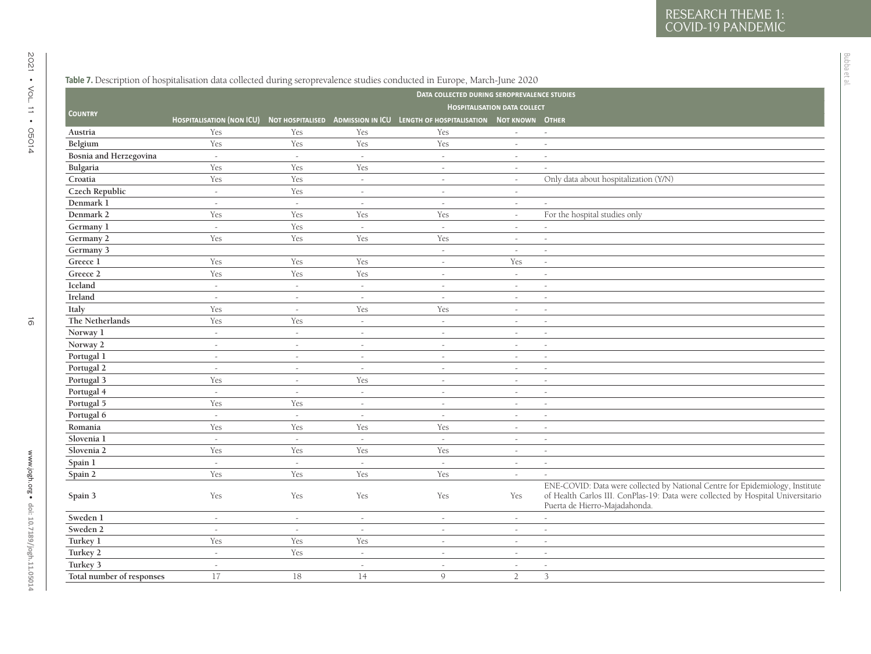<span id="page-15-0"></span>

|                           |        |                |                          | DATA COLLECTED DURING SEROPREVALENCE STUDIES                                                          |                                     |                                                                                                                                                                                                   |
|---------------------------|--------|----------------|--------------------------|-------------------------------------------------------------------------------------------------------|-------------------------------------|---------------------------------------------------------------------------------------------------------------------------------------------------------------------------------------------------|
|                           |        |                |                          |                                                                                                       | <b>HOSPITALISATION DATA COLLECT</b> |                                                                                                                                                                                                   |
| <b>COUNTRY</b>            |        |                |                          | HOSPITALISATION (NON ICU) NOT HOSPITALISED ADMISSION IN ICU LENGTH OF HOSPITALISATION NOT KNOWN OTHER |                                     |                                                                                                                                                                                                   |
| Austria                   | Yes    | Yes            | Yes                      | Yes                                                                                                   | $\sim$                              | $\sim$                                                                                                                                                                                            |
| Belgium                   | Yes    | Yes            | Yes                      | Yes                                                                                                   |                                     | $\sim$                                                                                                                                                                                            |
| Bosnia and Herzegovina    | $\sim$ | $\omega$       | $\omega$                 | $\omega$                                                                                              | $\sim$                              | $\sim$                                                                                                                                                                                            |
| Bulgaria                  | Yes    | Yes            | Yes                      | $\overline{\phantom{a}}$                                                                              | $\sim$                              |                                                                                                                                                                                                   |
| Croatia                   | Yes    | Yes            | $\sim$                   | $\overline{a}$                                                                                        | $\sim$                              | Only data about hospitalization (Y/N)                                                                                                                                                             |
| Czech Republic            | $\sim$ | Yes            | $\sim$                   | $\overline{a}$                                                                                        | $\sim$                              |                                                                                                                                                                                                   |
| Denmark 1                 | $\sim$ | $\sim$         | $\sim$                   | $\sim$                                                                                                | $\sim$                              |                                                                                                                                                                                                   |
| Denmark 2                 | Yes    | Yes            | Yes                      | Yes                                                                                                   | $\sim$                              | For the hospital studies only                                                                                                                                                                     |
| Germany 1                 | $\sim$ | Yes            | $\sim$                   | $\omega$                                                                                              |                                     |                                                                                                                                                                                                   |
| Germany 2                 | Yes    | Yes            | Yes                      | Yes                                                                                                   | $\sim$                              | $\sim$                                                                                                                                                                                            |
| Germany 3                 |        |                |                          | $\overline{\phantom{a}}$                                                                              | $\sim$                              | $\sim$                                                                                                                                                                                            |
| Greece 1                  | Yes    | Yes            | Yes                      | $\sim$                                                                                                | Yes                                 | $\sim$                                                                                                                                                                                            |
| Greece 2                  | Yes    | Yes            | Yes                      | $\overline{a}$                                                                                        | $\omega$                            | $\sim$                                                                                                                                                                                            |
| Iceland                   | $\sim$ | $\sim$         | $\sim$                   | $\sim$                                                                                                | $\sim$                              | $\sim$                                                                                                                                                                                            |
| Ireland                   | $\sim$ | $\sim$         | $\sim$                   | $\sim$                                                                                                | $\sim$                              | $\sim$                                                                                                                                                                                            |
| Italy                     | Yes    | $\overline{a}$ | Yes                      | Yes                                                                                                   |                                     | $\sim$                                                                                                                                                                                            |
| The Netherlands           | Yes    | Yes            | $\sim$                   | $\sim$                                                                                                | $\sim$                              | $\sim$                                                                                                                                                                                            |
| Norway 1                  | $\sim$ | $\sim$         | $\overline{\phantom{a}}$ | $\sim$                                                                                                | $\sim$                              | $\sim$                                                                                                                                                                                            |
| Norway 2                  | $\sim$ | $\sim$         | $\sim$                   | $\sim$                                                                                                | $\sim$                              | $\sim$                                                                                                                                                                                            |
| Portugal 1                | $\sim$ | $\sim$         | $\sim$                   | $\sim$                                                                                                | $\sim$                              | $\sim$                                                                                                                                                                                            |
| Portugal 2                | $\sim$ | $\sim$         | $\sim$                   | $\sim$                                                                                                | $\sim$                              | $\sim$                                                                                                                                                                                            |
| Portugal 3                | Yes    | $\sim$         | Yes                      | $\sim$                                                                                                | $\sim$                              | $\sim$                                                                                                                                                                                            |
| Portugal 4                | $\sim$ | $\sim$         | $\sim$                   | $\overline{a}$                                                                                        | $\sim$                              | $\sim$                                                                                                                                                                                            |
| Portugal 5                | Yes    | Yes            | $\sim$                   | $\bar{\phantom{a}}$                                                                                   | $\sim$                              | $\sim$                                                                                                                                                                                            |
| Portugal 6                | $\sim$ | $\sim$         | $\sim$                   | $\sim$                                                                                                | $\sim$                              | $\sim$                                                                                                                                                                                            |
| Romania                   | Yes    | Yes            | Yes                      | Yes                                                                                                   | $\sim$                              | $\sim$                                                                                                                                                                                            |
| Slovenia 1                | $\sim$ | $\omega$       | $\sim$                   | $\sim$                                                                                                | $\sim$                              | $\sim$                                                                                                                                                                                            |
| Slovenia 2                | Yes    | Yes            | Yes                      | Yes                                                                                                   | $\sim$                              | $\sim$                                                                                                                                                                                            |
| Spain 1                   | $\sim$ | $\sim$         | $\sim$                   | $\sim$                                                                                                | $\sim$                              | $\sim$                                                                                                                                                                                            |
| Spain 2                   | Yes    | Yes            | Yes                      | Yes                                                                                                   | $\sim$                              |                                                                                                                                                                                                   |
| Spain 3                   | Yes    | Yes            | Yes                      | Yes                                                                                                   | Yes                                 | ENE-COVID: Data were collected by National Centre for Epidemiology, Institute<br>of Health Carlos III. ConPlas-19: Data were collected by Hospital Universitario<br>Puerta de Hierro-Majadahonda. |
| Sweden 1                  | $\sim$ | $\sim$         | $\sim$                   | $\overline{\phantom{a}}$                                                                              | $\sim$                              | $\sim$                                                                                                                                                                                            |
| Sweden 2                  | $\sim$ | $\sim$         | $\sim$                   | $\sim$                                                                                                | $\sim$                              | $\sim$                                                                                                                                                                                            |
| Turkey 1                  | Yes    | Yes            | Yes                      | $\overline{a}$                                                                                        | $\sim$                              | $\sim$                                                                                                                                                                                            |
| Turkey 2                  | $\sim$ | Yes            | $\sim$                   | $\sim$                                                                                                | $\sim$                              | $\sim$                                                                                                                                                                                            |
| Turkey 3                  | $\sim$ |                | $\sim$                   | $\sim$                                                                                                | $\sim$                              | $\sim$                                                                                                                                                                                            |
| Total number of responses | 17     | 18             | 14                       | $\mathcal{Q}$                                                                                         | $\overline{2}$                      | 3                                                                                                                                                                                                 |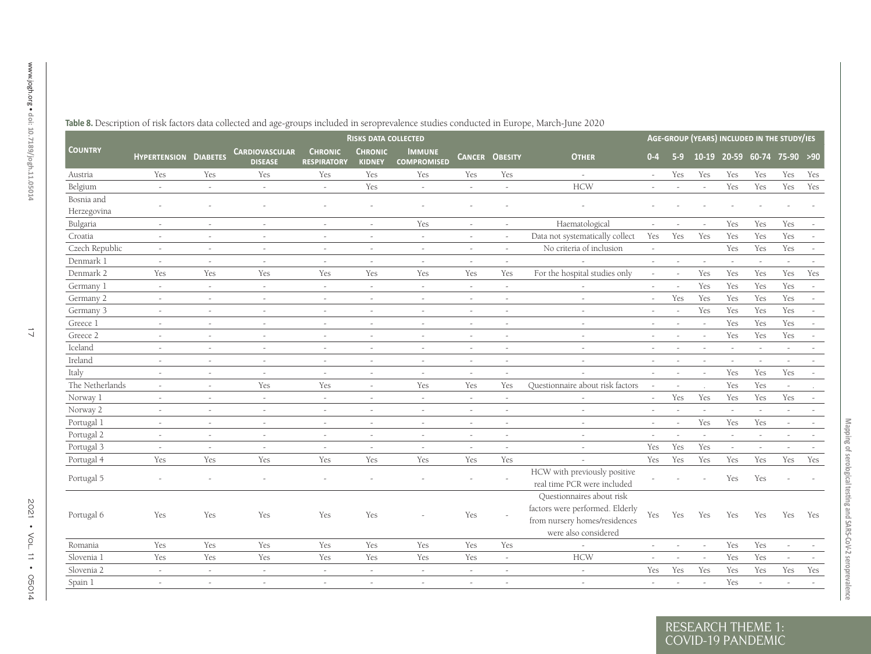|                 |                              |                          |                                         |                                      | <b>RISKS DATA COLLECTED</b>     |                                     |                          |                       |                                                                                                                       |                          |        | AGE-GROUP (YEARS) INCLUDED IN THE STUDY/IES |                          |                             |                          |     |
|-----------------|------------------------------|--------------------------|-----------------------------------------|--------------------------------------|---------------------------------|-------------------------------------|--------------------------|-----------------------|-----------------------------------------------------------------------------------------------------------------------|--------------------------|--------|---------------------------------------------|--------------------------|-----------------------------|--------------------------|-----|
| <b>COUNTRY</b>  | <b>HYPERTENSION DIABETES</b> |                          | <b>CARDIOVASCULAR</b><br><b>DISEASE</b> | <b>CHRONIC</b><br><b>RESPIRATORY</b> | <b>CHRONIC</b><br><b>KIDNEY</b> | <b>IMMUNE</b><br><b>COMPROMISED</b> |                          | <b>CANCER OBESITY</b> | <b>OTHER</b>                                                                                                          | $0 - 4$                  | $5-9$  |                                             |                          | 10-19 20-59 60-74 75-90 >90 |                          |     |
| Austria         | Yes                          | Yes                      | Yes                                     | Yes                                  | Yes                             | Yes                                 | Yes                      | Yes                   | $\sim$                                                                                                                | $\sim$                   | Yes    | Yes                                         | Yes                      | Yes                         | Yes                      | Yes |
| Belgium         | $\omega$                     | $\omega$                 | $\sim$                                  | $\sim$                               | Yes                             | $\sim$                              | $\sim$                   | $\sim$                | <b>HCW</b>                                                                                                            | $\sim$                   | $\sim$ | $\sim$                                      | Yes                      | Yes                         | Yes                      | Yes |
| Bosnia and      |                              |                          |                                         |                                      | $\sim$                          |                                     |                          |                       |                                                                                                                       |                          |        |                                             |                          |                             |                          |     |
| Herzegovina     |                              |                          |                                         |                                      |                                 |                                     |                          |                       |                                                                                                                       |                          |        |                                             |                          |                             |                          |     |
| Bulgaria        | $\sim$                       | $\sim$                   | $\sim$                                  | $\overline{\phantom{a}}$             | $\sim$                          | Yes                                 | $\overline{\phantom{a}}$ | $\sim$                | Haematological                                                                                                        | $\sim$                   |        |                                             | Yes                      | Yes                         | Yes                      |     |
| Croatia         | $\sim$                       | $\overline{\phantom{a}}$ | $\sim$                                  | $\sim$                               | $\sim$                          | $\sim$                              | $\overline{\phantom{a}}$ |                       | Data not systematically collect                                                                                       | Yes                      | Yes    | Yes                                         | Yes                      | Yes                         | Yes                      |     |
| Czech Republic  | $\sim$                       | $\overline{\phantom{a}}$ | $\sim$                                  | $\sim$                               | $\sim$                          | $\sim$                              | $\sim$                   |                       | No criteria of inclusion                                                                                              | $\omega$                 |        |                                             | Yes                      | Yes                         | Yes                      |     |
| Denmark 1       | $\sim$                       | $\overline{a}$           | $\sim$                                  | $\overline{a}$                       | $\sim$                          | $\sim$                              | $\overline{a}$           | $\sim$                |                                                                                                                       | $\sim$                   |        | $\sim$                                      | $\overline{a}$           | $\sim$                      | $\overline{a}$           |     |
| Denmark 2       | Yes                          | Yes                      | Yes                                     | Yes                                  | Yes                             | Yes                                 | Yes                      | Yes                   | For the hospital studies only                                                                                         | $\sim$                   |        | Yes                                         | Yes                      | Yes                         | Yes                      | Yes |
| Germany 1       | $\sim$                       | $\sim$                   | $\sim$                                  | $\sim$                               | $\sim$                          | $\sim$                              | $\sim$                   | $\sim$                |                                                                                                                       | $\sim$                   |        | Yes                                         | Yes                      | Yes                         | Yes                      |     |
| Germany 2       | $\sim$                       | $\sim$                   |                                         | $\sim$                               | $\sim$                          | $\sim$                              | $\overline{a}$           |                       |                                                                                                                       | $\sim$                   | Yes    | Yes                                         | Yes                      | Yes                         | Yes                      |     |
| Germany 3       | $\sim$                       | $\overline{\phantom{a}}$ | $\sim$                                  | $\sim$                               | $\sim$                          | $\sim$                              | $\overline{\phantom{a}}$ |                       | $\sim$                                                                                                                | $\sim$                   | $\sim$ | Yes                                         | Yes                      | Yes                         | Yes                      |     |
| Greece 1        | $\sim$                       | $\omega$                 | $\sim$                                  | $\sim$                               | $\sim$                          | $\sim$                              | $\bar{a}$                |                       | $\overline{a}$                                                                                                        | $\sim$                   | $\sim$ | $\sim$                                      | Yes                      | Yes                         | Yes                      |     |
| Greece 2        | $\sim$                       | $\sim$                   | $\sim$                                  | $\sim$                               | $\sim$                          | $\sim$                              | $\sim$                   |                       | $\sim$                                                                                                                | $\sim$                   | $\sim$ | $\sim$                                      | Yes                      | Yes                         | Yes                      |     |
| Iceland         | $\sim$                       | $\overline{\phantom{a}}$ | $\sim$                                  | $\sim$                               | $\sim$                          | $\sim$                              | $\sim$                   |                       | $\overline{a}$                                                                                                        | $\overline{\phantom{a}}$ |        | $\sim$                                      | $\sim$                   | $\sim$                      | $\sim$                   |     |
| Ireland         | $\sim$                       | $\sim$                   | $\sim$                                  | $\sim$                               | $\sim$                          | $\sim$                              | $\overline{a}$           | $\sim$                | $\sim$                                                                                                                | $\sim$                   | $\sim$ | $\sim$                                      | $\overline{\phantom{a}}$ | $\sim$                      | $\sim$                   |     |
| Italy           | $\sim$                       | $\sim$                   | $\sim$                                  | $\sim$                               | $\sim$                          | $\sim$                              | $\sim$                   | $\sim$                |                                                                                                                       | $\sim$                   | $\sim$ | $\sim$                                      | Yes                      | Yes                         | Yes                      |     |
| The Netherlands | $\sim$                       | $\sim$                   | Yes                                     | Yes                                  | $\sim$                          | Yes                                 | Yes                      | Yes                   | Questionnaire about risk factors                                                                                      | $\overline{\phantom{a}}$ | $\sim$ | $\ddot{\phantom{a}}$                        | Yes                      | Yes                         | $\sim$                   |     |
| Norway 1        | $\sim$                       | $\sim$                   | $\sim$                                  | $\sim$                               | $\sim$                          | $\sim$                              | $\sim$                   | $\sim$                |                                                                                                                       | $\sim$                   | Yes    | Yes                                         | Yes                      | Yes                         | Yes                      |     |
| Norway 2        | $\sim$                       | $\sim$                   | $\sim$                                  | $\sim$                               | $\sim$                          | $\overline{\phantom{a}}$            | $\sim$                   | $\sim$                | $\sim$                                                                                                                | $\sim$                   |        |                                             | $\overline{\phantom{a}}$ |                             | $\overline{\phantom{a}}$ |     |
| Portugal 1      | $\sim$                       | $\sim$                   | $\sim$                                  | $\sim$                               | $\sim$                          | $\overline{\phantom{a}}$            | $\bar{a}$                | $\sim$                | $\sim$                                                                                                                | $\sim$                   |        | Yes                                         | Yes                      | Yes                         | $\sim$                   |     |
| Portugal 2      | $\sim$                       | $\sim$                   | $\sim$                                  | $\sim$                               | $\sim$                          | $\sim$                              | $\overline{\phantom{a}}$ | $\sim$                | $\sim$                                                                                                                | $\overline{a}$           |        |                                             | $\sim$                   |                             | $\overline{a}$           |     |
| Portugal 3      | $\sim$                       | $\overline{\phantom{a}}$ | $\sim$                                  | $\sim$                               | $\sim$                          | $\sim$                              | $\sim$                   |                       | $\overline{a}$                                                                                                        | Yes                      | Yes    | Yes                                         | $\sim$                   | $\sim$                      |                          |     |
| Portugal 4      | Yes                          | Yes                      | Yes                                     | Yes                                  | Yes                             | Yes                                 | Yes                      | Yes                   |                                                                                                                       | Yes                      | Yes    | Yes                                         | Yes                      | Yes                         | Yes                      | Yes |
| Portugal 5      |                              |                          |                                         |                                      |                                 |                                     |                          |                       | HCW with previously positive<br>real time PCR were included                                                           |                          |        |                                             | Yes                      | Yes                         |                          |     |
| Portugal 6      | Yes                          | Yes                      | Yes                                     | Yes                                  | Yes                             |                                     | Yes                      |                       | Questionnaires about risk<br>factors were performed. Elderly<br>from nursery homes/residences<br>were also considered | Yes                      | Yes    | Yes                                         | Yes                      | Yes                         | Yes                      | Yes |
| Romania         | Yes                          | Yes                      | Yes                                     | Yes                                  | Yes                             | Yes                                 | Yes                      | Yes                   |                                                                                                                       | $\sim$                   | $\sim$ | $\sim$                                      | Yes                      | Yes                         | $\bar{\phantom{a}}$      |     |
| Slovenia 1      | Yes                          | Yes                      | Yes                                     | Yes                                  | Yes                             | Yes                                 | Yes                      | $\sim$                | <b>HCW</b>                                                                                                            | $\sim$                   | $\sim$ | $\sim$                                      | Yes                      | Yes                         | $\overline{\phantom{a}}$ |     |
| Slovenia 2      | $\sim$                       | $\sim$                   | $\sim$                                  | $\sim$                               | $\sim$                          | $\bar{\phantom{a}}$                 | $\sim$                   | $\sim$                | $\sim$                                                                                                                | Yes                      | Yes    | Yes                                         | Yes                      | Yes                         | Yes                      | Yes |
| Spain 1         | $\sim$                       | $\sim$                   | $\sim$                                  | $\sim$                               | $\sim$                          | $\overline{\phantom{a}}$            | $\overline{\phantom{a}}$ | $\sim$                | $\sim$                                                                                                                | $\sim$                   |        | $\sim$                                      | Yes                      | $\sim$                      | $\overline{\phantom{a}}$ |     |

<span id="page-16-0"></span> $\overline{C}$  OVID-19 PA RESEARCH THEME 1: COVID-19 PANDEMIC **Mapping of serological testing and SARS-CoV-2 seroprevalence**

Mapping of serological testing and SARS-CoV-2 seroprevalence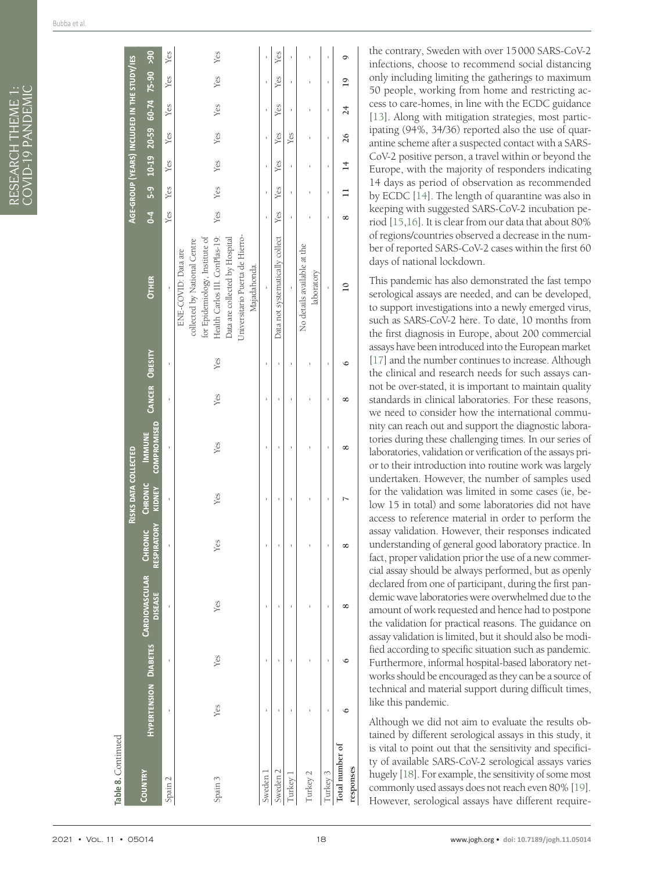| Table 8. Continued           |     |     |                                                                |                    |                          |                                     |                |     |                                                                                                                                                                                                              |                |              |                |              |                                             |                |              |
|------------------------------|-----|-----|----------------------------------------------------------------|--------------------|--------------------------|-------------------------------------|----------------|-----|--------------------------------------------------------------------------------------------------------------------------------------------------------------------------------------------------------------|----------------|--------------|----------------|--------------|---------------------------------------------|----------------|--------------|
|                              |     |     |                                                                |                    | RISKS DATA COLLECTED     |                                     |                |     |                                                                                                                                                                                                              |                |              |                |              | AGE-GROUP (YEARS) INCLUDED IN THE STUDY/IES |                |              |
| COUNTRY                      |     |     | HYPERTENSION DIABETES CARDIOVASCULAR CHRONIC<br><b>DISEASE</b> | <b>RESPIRATORY</b> | <b>CHRONIC</b><br>KIDNEY | <b>COMPROMISED</b><br><b>IMMUNE</b> | CANCER OBESITY |     | <b>OTHER</b>                                                                                                                                                                                                 | $\overline{6}$ |              |                |              | 5-9 10-19 20-59 60-74 75-90 >90             |                |              |
| Spain 2                      | ł   | f,  | f,                                                             |                    | ï                        | ı                                   | $\mathbf{I}$   | ł   | $\overline{1}$                                                                                                                                                                                               | Yes            | Yes          | Yes            | Yes          | Yes                                         | Yes            | Yes          |
| Spain 3                      | Yes | Yes | Yes                                                            | Yes                | Yes                      | Yes                                 | Yes            | Yes | Health Carlos III. ConPlas-19:<br>Universitario Puerta de Hierro-<br>for Epidemiology, Institute of<br>Data are collected by Hospital<br>collected by National Centre<br>ENE-COVID: Data are<br>Majadahonda. | Yes            | Yes          | Yes            | Yes          | Yes                                         | Yes            | Yes          |
| Sweden 1                     | I   | I   | ĭ,                                                             |                    |                          | Ï                                   | ï              |     | $\mathbf{I}$                                                                                                                                                                                                 |                | ï            | ï              | ı            | ı                                           | ı              | ï            |
| Sweden 2                     | ï   | ı   | ı                                                              |                    | ı                        | ı                                   | ı              | ı   | Data not systematically collect                                                                                                                                                                              | Yes            | Yes          | Yes            | Yes          | Yes                                         | Yes            | Yes          |
| Turkey 1                     |     |     |                                                                |                    |                          |                                     |                | ï   | $\overline{1}$                                                                                                                                                                                               | ï              | ı            | ı              | Yes          | 1                                           | ı              | ı            |
| Turkey 2                     |     |     |                                                                |                    |                          |                                     |                |     | No details available at the<br>laboratory                                                                                                                                                                    |                | ï            | ı              | ı            | 1                                           | 1              | ı            |
| Turkey 3                     | I   | ï   | ï                                                              |                    | I                        | Ï                                   | $\mathbf{I}$   | ï   | $\mathbf{I}$                                                                                                                                                                                                 | Ï              | $\mathbf{I}$ | $\mathbf{I}$   | $\mathbf{I}$ | $\mathbf{I}$                                | $\mathbf{I}$   | $\mathbf{I}$ |
| Total number of<br>responses | ی   | ∘   | 8                                                              | $\infty$           |                          | 8                                   | 8              | ی   | $\overline{10}$                                                                                                                                                                                              | $^{\circ}$     | $\equiv$     | $\frac{14}{1}$ | 26           | $\overline{24}$                             | $\overline{0}$ | $\circ$      |

the contrary, Sweden with over 15000 SARS-CoV-2 infections, choose to recommend social distancing only including limiting the gatherings to maximum 50 people, working from home and restricting access to care-homes, in line with the ECDC guidance [[13\]](#page-20-10). Along with mitigation strategies, most participating (94%, 34/36) reported also the use of quarantine scheme after a suspected contact with a SARS-CoV-2 positive person, a travel within or beyond the Europe, with the majority of responders indicating 14 days as period of observation as recommended by ECDC [\[14](#page-20-11)]. The length of quarantine was also in keeping with suggested SARS-CoV-2 incubation period [[15](#page-20-12)[,16](#page-20-13)]. It is clear from our data that about 80% of regions/countries observed a decrease in the number of reported SARS-CoV-2 cases within the first 60 days of national lockdown.

This pandemic has also demonstrated the fast tempo serological assays are needed, and can be developed, to support investigations into a newly emerged virus, such as SARS-CoV-2 here. To date, 10 months from the first diagnosis in Europe, about 200 commercial assays have been introduced into the European market [[17](#page-20-14)] and the number continues to increase. Although the clinical and research needs for such assays cannot be over-stated, it is important to maintain quality standards in clinical laboratories. For these reasons, we need to consider how the international community can reach out and support the diagnostic laboratories during these challenging times. In our series of laboratories, validation or verification of the assays prior to their introduction into routine work was largely undertaken. However, the number of samples used for the validation was limited in some cases (ie, below 15 in total) and some laboratories did not have access to reference material in order to perform the assay validation. However, their responses indicated understanding of general good laboratory practice. In fact, proper validation prior the use of a new commercial assay should be always performed, but as openly declared from one of participant, during the first pandemic wave laboratories were overwhelmed due to the amount of work requested and hence had to postpone the validation for practical reasons. The guidance on assay validation is limited, but it should also be modified according to specific situation such as pandemic. Furthermore, informal hospital-based laboratory networks should be encouraged as they can be a source of technical and material support during difficult times, like this pandemic.

Although we did not aim to evaluate the results obtained by different serological assays in this study, it is vital to point out that the sensitivity and specificity of available SARS-CoV-2 serological assays varies hugely [\[18\]](#page-20-15). For example, the sensitivity of some most commonly used assays does not reach even 80% [\[19\]](#page-20-16). However, serological assays have different require-

RESEARCH THEME 1: COVID-19 PANDEMIC

RESEARCH THEME 1:<br>COVID-19 PANDEMIC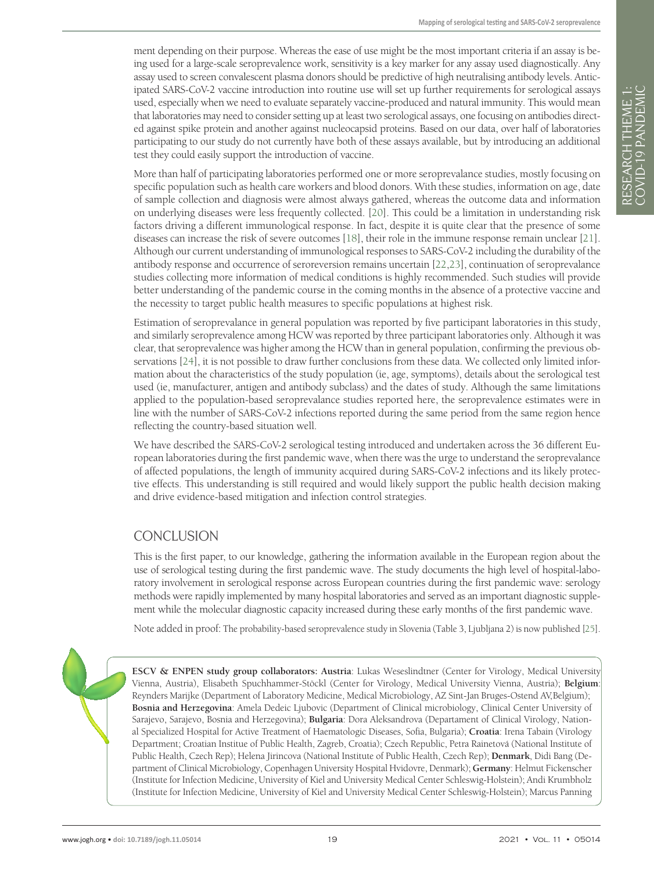ment depending on their purpose. Whereas the ease of use might be the most important criteria if an assay is being used for a large-scale seroprevalence work, sensitivity is a key marker for any assay used diagnostically. Any assay used to screen convalescent plasma donors should be predictive of high neutralising antibody levels. Anticipated SARS-CoV-2 vaccine introduction into routine use will set up further requirements for serological assays used, especially when we need to evaluate separately vaccine-produced and natural immunity. This would mean that laboratories may need to consider setting up at least two serological assays, one focusing on antibodies directed against spike protein and another against nucleocapsid proteins. Based on our data, over half of laboratories participating to our study do not currently have both of these assays available, but by introducing an additional test they could easily support the introduction of vaccine.

More than half of participating laboratories performed one or more seroprevalance studies, mostly focusing on specific population such as health care workers and blood donors. With these studies, information on age, date of sample collection and diagnosis were almost always gathered, whereas the outcome data and information on underlying diseases were less frequently collected. [[20\]](#page-20-17). This could be a limitation in understanding risk factors driving a different immunological response. In fact, despite it is quite clear that the presence of some diseases can increase the risk of severe outcomes [\[18](#page-20-15)], their role in the immune response remain unclear [\[21](#page-20-18)]. Although our current understanding ofimmunological responses to SARS-CoV-2 including the durability of the antibody response and occurrence of seroreversion remains uncertain [[22](#page-20-19)[,23\]](#page-20-20), continuation of seroprevalance studies collecting more information of medical conditions is highly recommended. Such studies will provide better understanding of the pandemic course in the coming months in the absence of a protective vaccine and the necessity to target public health measures to specific populations at highest risk.

Estimation of seroprevalance in general population was reported by five participant laboratories in this study, and similarly seroprevalence among HCW was reported by three participant laboratories only. Although it was clear, that seroprevalence was higher among the HCW than in general population, confirming the previous observations [\[24\]](#page-20-21), it is not possible to draw further conclusions from these data. We collected only limited information about the characteristics of the study population (ie, age, symptoms), details about the serological test used (ie, manufacturer, antigen and antibody subclass) and the dates of study. Although the same limitations applied to the population-based seroprevalance studies reported here, the seroprevalence estimates were in line with the number of SARS-CoV-2 infections reported during the same period from the same region hence reflecting the country-based situation well.

We have described the SARS-CoV-2 serological testing introduced and undertaken across the 36 different European laboratories during the first pandemic wave, when there was the urge to understand the seroprevalance of affected populations, the length of immunity acquired during SARS-CoV-2 infections and its likely protective effects. This understanding is still required and would likely support the public health decision making and drive evidence-based mitigation and infection control strategies.

### **CONCLUSION**

This is the first paper, to our knowledge, gathering the information available in the European region about the use of serological testing during the first pandemic wave. The study documents the high level of hospital-laboratory involvement in serological response across European countries during the first pandemic wave: serology methods were rapidly implemented by many hospital laboratories and served as an important diagnostic supplement while the molecular diagnostic capacity increased during these early months of the first pandemic wave.

Note added in proof: The probability-based seroprevalence study in Slovenia (Table 3, Ljubljana 2) is now published [\[25\]](#page-20-22).

**ESCV & ENPEN study group collaborators: Austria**: Lukas Weseslindtner (Center for Virology, Medical University Vienna, Austria), Elisabeth Spuchhammer-Stöckl (Center for Virology, Medical University Vienna, Austria); **Belgium**: Reynders Marijke (Department of Laboratory Medicine, Medical Microbiology, AZ Sint-Jan Bruges-Ostend AV,Belgium); **Bosnia and Herzegovina**: Amela Dedeic Ljubovic (Department of Clinical microbiology, Clinical Center University of Sarajevo, Sarajevo, Bosnia and Herzegovina); **Bulgaria**: Dora Aleksandrova (Departament of Clinical Virology, National Specialized Hospital for Active Treatment of Haematologic Diseases, Sofia, Bulgaria); **Croatia**: Irena Tabain (Virology Department; Croatian Institue of Public Health, Zagreb, Croatia); Czech Republic, Petra Rainetová (National Institute of Public Health, Czech Rep); Helena Jirincova (National Institute of Public Health, Czech Rep); **Denmark**, Didi Bang (Department of Clinical Microbiology, CopenhagenUniversity Hospital Hvidovre, Denmark); **Germany**: Helmut Fickenscher (Institute for Infection Medicine, University of Kiel and University Medical Center Schleswig-Holstein); Andi Krumbholz (Institute for Infection Medicine, University of Kiel and University Medical Center Schleswig-Holstein); Marcus Panning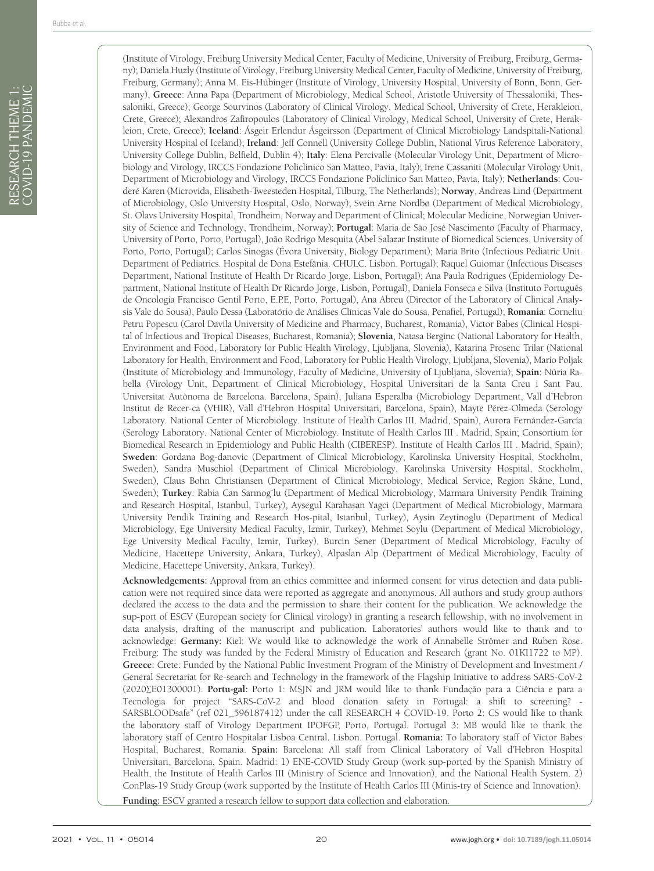(Institute of Virology, Freiburg University Medical Center, Faculty of Medicine, University of Freiburg, Freiburg, Germany); Daniela Huzly (Institute of Virology, Freiburg University Medical Center, Faculty of Medicine, University of Freiburg, Freiburg, Germany); Anna M. Eis-Hübinger (Institute of Virology, University Hospital, University of Bonn, Bonn, Germany), **Greece**: Anna Papa (Department of Microbiology, Medical School, Aristotle University of Thessaloniki, Thessaloniki, Greece); George Sourvinos (Laboratory of Clinical Virology, Medical School, University of Crete, Herakleion, Crete, Greece); Alexandros Zafiropoulos (Laboratory of Clinical Virology, Medical School, University of Crete, Herakleion, Crete, Greece); **Iceland**: Ásgeir Erlendur Ásgeirsson (Department of Clinical Microbiology Landspitali-National University Hospital of Iceland); **Ireland**: Jeff Connell (University College Dublin, National Virus Reference Laboratory, University College Dublin, Belfield, Dublin 4); **Italy**: Elena Percivalle (Molecular Virology Unit, Department of Microbiology and Virology, IRCCS Fondazione Policlinico San Matteo, Pavia, Italy); Irene Cassaniti (Molecular Virology Unit, Department of Microbiology and Virology, IRCCS Fondazione Policlinico San Matteo, Pavia, Italy); **Netherlands**: Couderé Karen (Microvida, Elisabeth-Tweesteden Hospital, Tilburg, The Netherlands); **Norway**, Andreas Lind (Department of Microbiology, Oslo University Hospital, Oslo, Norway); Svein Arne Nordbø (Department of Medical Microbiology, St. Olavs University Hospital, Trondheim, Norway and Department of Clinical; Molecular Medicine, Norwegian University of Science and Technology, Trondheim, Norway); **Portugal**: Maria de São José Nascimento (Faculty of Pharmacy, University of Porto, Porto, Portugal), João Rodrigo Mesquita (Abel Salazar Institute of Biomedical Sciences, University of Porto, Porto, Portugal); Carlos Sinogas (Évora University, Biology Department); Maria Brito (Infectious Pediatric Unit. Department of Pediatrics. Hospital de Dona Estefânia. CHULC. Lisbon. Portugal); Raquel Guiomar (Infectious Diseases Department, National Institute of Health Dr Ricardo Jorge, Lisbon, Portugal); Ana Paula Rodrigues (Epidemiology Department, National Institute of Health Dr Ricardo Jorge, Lisbon, Portugal), Daniela Fonseca e Silva (Instituto Português de Oncologia Francisco Gentil Porto, E.P.E, Porto, Portugal), Ana Abreu (Director of the Laboratory of Clinical Analysis Vale do Sousa), Paulo Dessa (Laboratório de Análises Clínicas Vale do Sousa, Penafiel, Portugal); **Romania**: Corneliu Petru Popescu (Carol Davila University of Medicine and Pharmacy, Bucharest, Romania), Victor Babes (Clinical Hospital of Infectious and Tropical Diseases, Bucharest, Romania); **Slovenia**, Natasa Berginc (National Laboratory for Health, Environment and Food, Laboratory for Public Health Virology, Ljubljana, Slovenia), Katarina Prosenc Trilar (National Laboratory for Health, Environment and Food, Laboratory for Public Health Virology, Ljubljana, Slovenia), Mario Poljak (Institute of Microbiology and Immunology, Faculty of Medicine, University of Ljubljana, Slovenia); **Spain**: Núria Rabella (Virology Unit, Department of Clinical Microbiology, Hospital Universitari de la Santa Creu i Sant Pau. Universitat Autònoma de Barcelona. Barcelona, Spain), Juliana Esperalba (Microbiology Department, Vall d'Hebron Institut de Recer-ca (VHIR), Vall d'Hebron Hospital Universitari, Barcelona, Spain), Mayte Pérez-Olmeda (Serology Laboratory. National Center of Microbiology. Institute of Health Carlos III. Madrid, Spain), Aurora Fernández-García (Serology Laboratory. National Center of Microbiology. Institute of Health Carlos III . Madrid, Spain; Consortium for Biomedical Research in Epidemiology and Public Health (CIBERESP). Institute of Health Carlos III . Madrid, Spain); **Sweden**: Gordana Bog-danovic (Department of Clinical Microbiology, Karolinska University Hospital, Stockholm, Sweden), Sandra Muschiol (Department of Clinical Microbiology, Karolinska University Hospital, Stockholm, Sweden), Claus Bohn Christiansen (Department of Clinical Microbiology, Medical Service, Region Skåne, Lund, Sweden); **Turkey**: Rabia Can Sarınog˘lu (Department of Medical Microbiology, Marmara University Pendik Training and Research Hospital, Istanbul, Turkey), Aysegul Karahasan Yagci (Department of Medical Microbiology, Marmara University Pendik Training and Research Hos-pital, Istanbul, Turkey), Aysin Zeytinoglu (Department of Medical Microbiology, Ege University Medical Faculty, Izmir, Turkey), Mehmet Soylu (Department of Medical Microbiology, Ege University Medical Faculty, Izmir, Turkey), Burcin Sener (Department of Medical Microbiology, Faculty of Medicine, Hacettepe University, Ankara, Turkey), Alpaslan Alp (Department of Medical Microbiology, Faculty of Medicine, Hacettepe University, Ankara, Turkey).

**Acknowledgements:** Approval from an ethics committee and informed consent for virus detection and data publication were not required since data were reported as aggregate and anonymous. All authors and study group authors declared the access to the data and the permission to share their content for the publication. We acknowledge the sup-port of ESCV (European society for Clinical virology) in granting a research fellowship, with no involvement in data analysis, drafting of the manuscript and publication. Laboratories' authors would like to thank and to acknowledge: **Germany:** Kiel: We would like to acknowledge the work of Annabelle Strömer and Ruben Rose. Freiburg: The study was funded by the Federal Ministry of Education and Research (grant No. 01KI1722 to MP). **Greece:** Crete: Funded by the National Public Investment Program of the Ministry of Development and Investment / General Secretariat for Re-search and Technology in the framework of the Flagship Initiative to address SARS-CoV-2 (2020∑E01300001). **Portu-gal:** Porto 1: MSJN and JRM would like to thank Fundação para a Ciência e para a Tecnologia for project "SARS-CoV-2 and blood donation safety in Portugal: a shift to screening? - SARSBLOODsafe" (ref 021\_596187412) under the call RESEARCH 4 COVID-19. Porto 2: CS would like to thank the laboratory staff of Virology Department IPOFGP, Porto, Portugal. Portugal 3: MB would like to thank the laboratory staff of Centro Hospitalar Lisboa Central. Lisbon. Portugal. **Romania:** To laboratory staff of Victor Babes Hospital, Bucharest, Romania. **Spain:** Barcelona: All staff from Clinical Laboratory of Vall d'Hebron Hospital Universitari, Barcelona, Spain. Madrid: 1) ENE-COVID Study Group (work sup-ported by the Spanish Ministry of Health, the Institute of Health Carlos III (Ministry of Science and Innovation), and the National Health System. 2) ConPlas-19 Study Group (work supported by the Institute of Health Carlos III (Minis-try of Science and Innovation).

**Funding:** ESCV granted a research fellow to support data collection and elaboration.